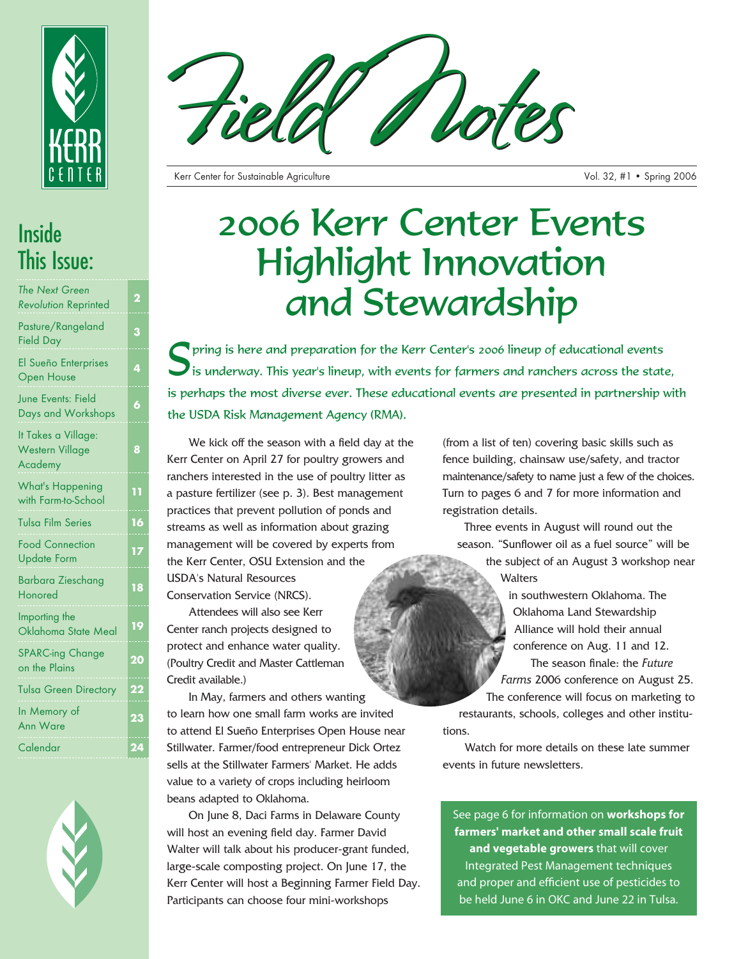



*The Next Green Revolution* Reprinted **<sup>2</sup>**

Pasture/Rangeland Field Day **<sup>3</sup>**

El Sueño Enterprises Open House

June Events: Field Days and Workshops **<sup>6</sup>**

It Takes a Village: Western Village Academy

**8**

What's Happening with Farm-to-School **11** Tulsa Film Series **16** Food Connection Update Form **<sup>17</sup>** Barbara Zieschang Honored **<sup>18</sup>** Importing the Oklahoma State Meal **19** SPARC-ing Change SPARC-ing Change<br>on the Plains Tulsa Green Directory **22** In Memory of Ann Ware **<sup>23</sup>**

Calendar **24**



Kerr Center for Sustainable Agriculture Vol. 32, #1 • Spring 2006

# 2006 Kerr Center Events Highlight Innovation and Stewardship

Spring is here and preparation for the Kerr Center's 2006 lineup of educational events<br>is underway. This year's lineup, with events for farmers and ranchers across the state, is perhaps the most diverse ever. These educational events are presented in partnership with the USDA Risk Management Agency (RMA).

We kick off the season with a field day at the Kerr Center on April 27 for poultry growers and ranchers interested in the use of poultry litter as a pasture fertilizer (see p. 3). Best management practices that prevent pollution of ponds and streams as well as information about grazing management will be covered by experts from the Kerr Center, OSU Extension and the USDA's Natural Resources Conservation Service (NRCS).

Attendees will also see Kerr Center ranch projects designed to protect and enhance water quality. (Poultry Credit and Master Cattleman Credit available.)

In May, farmers and others wanting to learn how one small farm works are invited to attend El Sueño Enterprises Open House near Stillwater. Farmer/food entrepreneur Dick Ortez sells at the Stillwater Farmers' Market. He adds value to a variety of crops including heirloom beans adapted to Oklahoma.

On June 8, Daci Farms in Delaware County will host an evening field day. Farmer David Walter will talk about his producer-grant funded, large-scale composting project. On June 17, the Kerr Center will host a Beginning Farmer Field Day. Participants can choose four mini-workshops

(from a list of ten) covering basic skills such as fence building, chainsaw use/safety, and tractor maintenance/safety to name just a few of the choices. Turn to pages 6 and 7 for more information and registration details.

Three events in August will round out the season. "Sunflower oil as a fuel source" will be the subject of an August 3 workshop near

**Walters** 

in southwestern Oklahoma. The Oklahoma Land Stewardship Alliance will hold their annual conference on Aug. 11 and 12. The season finale: the *Future Farms* 2006 conference on August 25.

The conference will focus on marketing to restaurants, schools, colleges and other institutions.

Watch for more details on these late summer events in future newsletters.

See page 6 for information on **workshops for farmers' market and other small scale fruit and vegetable growers** that will cover Integrated Pest Management techniques and proper and efficient use of pesticides to be held June 6 in OKC and June 22 in Tulsa.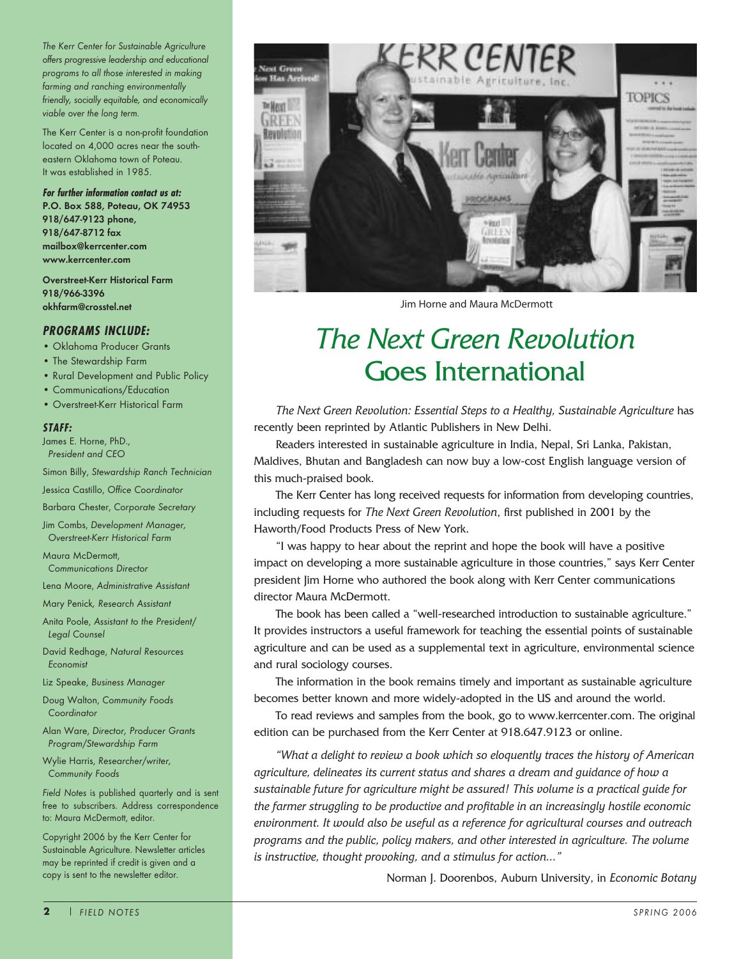*The Kerr Center for Sustainable Agriculture offers progressive leadership and educational programs to all those interested in making farming and ranching environmentally friendly, socially equitable, and economically viable over the long term.* 

The Kerr Center is a non-profit foundation located on 4,000 acres near the southeastern Oklahoma town of Poteau. It was established in 1985.

**For further information contact us at: P.O. Box 588, Poteau, OK 74953 918/647-9123 phone, 918/647-8712 fax mailbox@kerrcenter.com www.kerrcenter.com**

**Overstreet-Kerr Historical Farm 918/966-3396 okhfarm@crosstel.net**

#### **PROGRAMS INCLUDE:**

- Oklahoma Producer Grants
- The Stewardship Farm
- Rural Development and Public Policy
- Communications/Education
- Overstreet-Kerr Historical Farm

#### **STAFF:**

James E. Horne, PhD., *President and CEO*

Simon Billy, *Stewardship Ranch Technician*

Jessica Castillo, *Office Coordinator*

Barbara Chester, *Corporate Secretary*

Jim Combs, *Development Manager, Overstreet-Kerr Historical Farm*

Maura McDermott, *Communications Director*

Lena Moore, *Administrative Assistant*

Mary Penick*, Research Assistant*

Anita Poole, *Assistant to the President/ Legal Counsel*

David Redhage, *Natural Resources Economist*

Liz Speake, *Business Manager*

Doug Walton, *Community Foods Coordinator*

Alan Ware, *Director, Producer Grants Program/Stewardship Farm*

Wylie Harris, *Researcher/writer, Community Foods* 

*Field Notes* is published quarterly and is sent free to subscribers. Address correspondence to: Maura McDermott, editor.

Copyright 2006 by the Kerr Center for Sustainable Agriculture. Newsletter articles may be reprinted if credit is given and a copy is sent to the newsletter editor.



Jim Horne and Maura McDermott

### *The Next Green Revolution* Goes International

*The Next Green Revolution: Essential Steps to a Healthy, Sustainable Agriculture* has recently been reprinted by Atlantic Publishers in New Delhi.

Readers interested in sustainable agriculture in India, Nepal, Sri Lanka, Pakistan, Maldives, Bhutan and Bangladesh can now buy a low-cost English language version of this much-praised book.

The Kerr Center has long received requests for information from developing countries, including requests for *The Next Green Revolution*, first published in 2001 by the Haworth/Food Products Press of New York.

"I was happy to hear about the reprint and hope the book will have a positive impact on developing a more sustainable agriculture in those countries," says Kerr Center president Jim Horne who authored the book along with Kerr Center communications director Maura McDermott.

The book has been called a "well-researched introduction to sustainable agriculture." It provides instructors a useful framework for teaching the essential points of sustainable agriculture and can be used as a supplemental text in agriculture, environmental science and rural sociology courses.

The information in the book remains timely and important as sustainable agriculture becomes better known and more widely-adopted in the US and around the world.

To read reviews and samples from the book, go to www.kerrcenter.com. The original edition can be purchased from the Kerr Center at 918.647.9123 or online.

*"What a delight to review a book which so eloquently traces the history of American agriculture, delineates its current status and shares a dream and guidance of how a sustainable future for agriculture might be assured! This volume is a practical guide for the farmer struggling to be productive and profitable in an increasingly hostile economic environment. It would also be useful as a reference for agricultural courses and outreach programs and the public, policy makers, and other interested in agriculture. The volume is instructive, thought provoking, and a stimulus for action…"*

Norman J. Doorenbos, Auburn University, in *Economic Botany*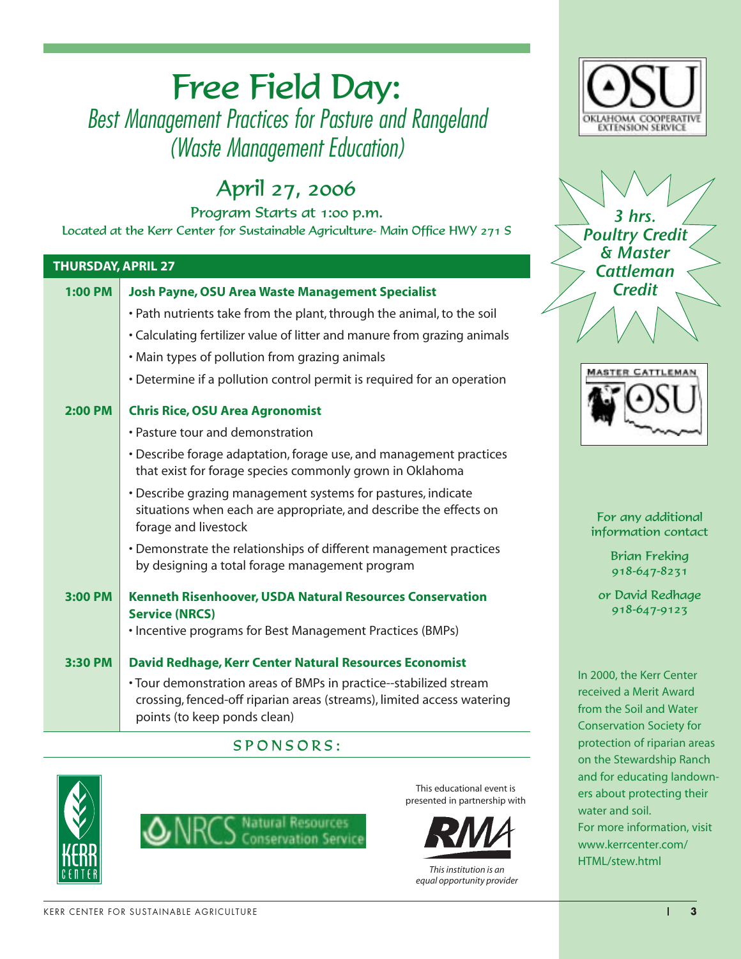### Free Field Day: Best Management Practices for Pasture and Rangeland (Waste Management Education)

### April 27, 2006

Program Starts at 1:00 p.m. Located at the Kerr Center for Sustainable Agriculture- Main Office HWY 271 S

#### **THURSDAY, APRIL 27 1:00 PM Josh Payne, OSU Area Waste Management Specialist** • Path nutrients take from the plant, through the animal, to the soil • Calculating fertilizer value of litter and manure from grazing animals • Main types of pollution from grazing animals • Determine if a pollution control permit is required for an operation **2:00 PM Chris Rice, OSU Area Agronomist** • Pasture tour and demonstration • Describe forage adaptation, forage use, and management practices that exist for forage species commonly grown in Oklahoma • Describe grazing management systems for pastures, indicate situations when each are appropriate, and describe the effects on forage and livestock • Demonstrate the relationships of different management practices by designing a total forage management program **3:00 PM Kenneth Risenhoover, USDA Natural Resources Conservation Service (NRCS)** • Incentive programs for Best Management Practices (BMPs) **3:30 PM David Redhage, Kerr Center Natural Resources Economist** • Tour demonstration areas of BMPs in practice--stabilized stream crossing, fenced-off riparian areas (streams), limited access watering points (to keep ponds clean)

#### SPONSORS:





This educational event is presented in partnership with



HTML/stew.html *This institution is an equal opportunity provider*



3 hrs. Poultry Credit & Master **Cattleman Credit** 



For any additional information contact

> Brian Freking 918-647-8231

or David Redhage 918-647-9123

In 2000, the Kerr Center received a Merit Award from the Soil and Water Conservation Society for protection of riparian areas on the Stewardship Ranch and for educating landowners about protecting their water and soil. For more information, visit www.kerrcenter.com/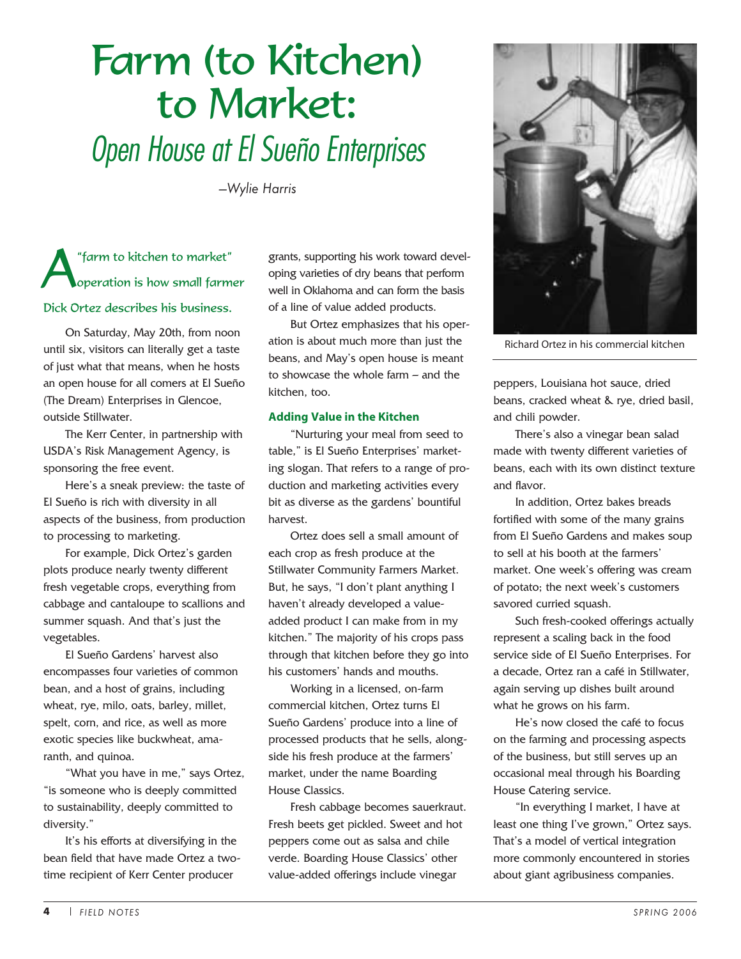# Farm (to Kitchen) to Market: Open House at El Sueño Enterprises

*—Wylie Harris*

A"farm to kitchen to market" operation is how small farmer Dick Ortez describes his business.

On Saturday, May 20th, from noon until six, visitors can literally get a taste of just what that means, when he hosts an open house for all comers at El Sueño (The Dream) Enterprises in Glencoe, outside Stillwater.

The Kerr Center, in partnership with USDA's Risk Management Agency, is sponsoring the free event.

Here's a sneak preview: the taste of El Sueño is rich with diversity in all aspects of the business, from production to processing to marketing.

For example, Dick Ortez's garden plots produce nearly twenty different fresh vegetable crops, everything from cabbage and cantaloupe to scallions and summer squash. And that's just the vegetables.

El Sueño Gardens' harvest also encompasses four varieties of common bean, and a host of grains, including wheat, rye, milo, oats, barley, millet, spelt, corn, and rice, as well as more exotic species like buckwheat, amaranth, and quinoa.

"What you have in me," says Ortez, "is someone who is deeply committed to sustainability, deeply committed to diversity."

It's his efforts at diversifying in the bean field that have made Ortez a twotime recipient of Kerr Center producer

grants, supporting his work toward developing varieties of dry beans that perform well in Oklahoma and can form the basis of a line of value added products.

But Ortez emphasizes that his operation is about much more than just the beans, and May's open house is meant to showcase the whole farm – and the kitchen, too.

#### **Adding Value in the Kitchen**

"Nurturing your meal from seed to table," is El Sueño Enterprises' marketing slogan. That refers to a range of production and marketing activities every bit as diverse as the gardens' bountiful harvest.

Ortez does sell a small amount of each crop as fresh produce at the Stillwater Community Farmers Market. But, he says, "I don't plant anything I haven't already developed a valueadded product I can make from in my kitchen." The majority of his crops pass through that kitchen before they go into his customers' hands and mouths.

Working in a licensed, on-farm commercial kitchen, Ortez turns El Sueño Gardens' produce into a line of processed products that he sells, alongside his fresh produce at the farmers' market, under the name Boarding House Classics.

Fresh cabbage becomes sauerkraut. Fresh beets get pickled. Sweet and hot peppers come out as salsa and chile verde. Boarding House Classics' other value-added offerings include vinegar



Richard Ortez in his commercial kitchen

peppers, Louisiana hot sauce, dried beans, cracked wheat & rye, dried basil, and chili powder.

There's also a vinegar bean salad made with twenty different varieties of beans, each with its own distinct texture and flavor.

In addition, Ortez bakes breads fortified with some of the many grains from El Sueño Gardens and makes soup to sell at his booth at the farmers' market. One week's offering was cream of potato; the next week's customers savored curried squash.

Such fresh-cooked offerings actually represent a scaling back in the food service side of El Sueño Enterprises. For a decade, Ortez ran a café in Stillwater, again serving up dishes built around what he grows on his farm.

He's now closed the café to focus on the farming and processing aspects of the business, but still serves up an occasional meal through his Boarding House Catering service.

"In everything I market, I have at least one thing I've grown," Ortez says. That's a model of vertical integration more commonly encountered in stories about giant agribusiness companies.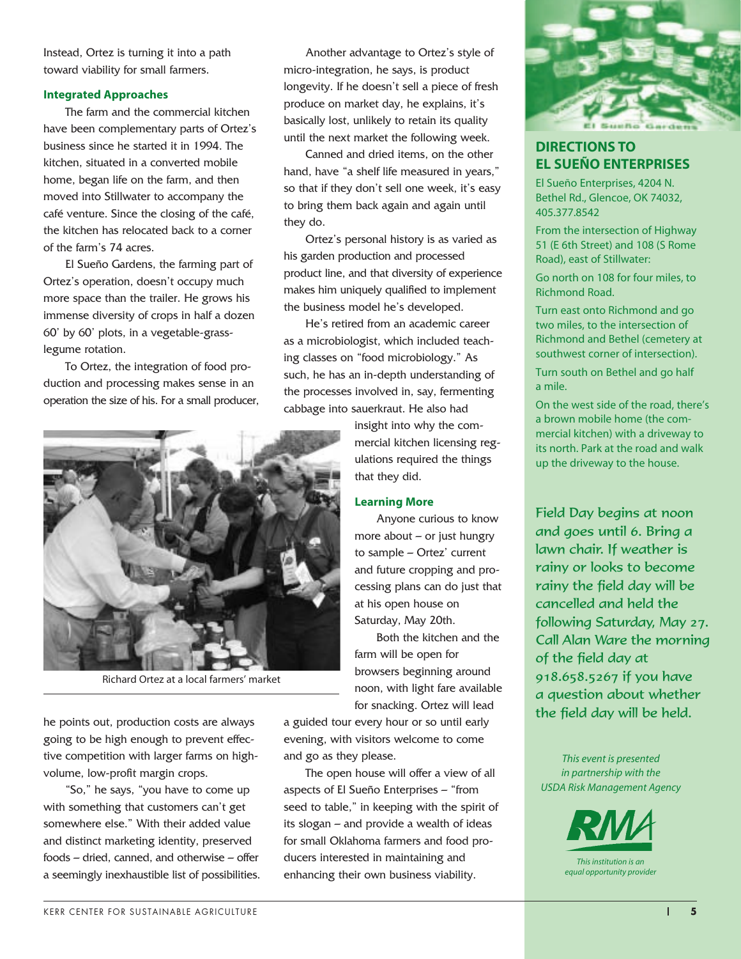Instead, Ortez is turning it into a path toward viability for small farmers.

#### **Integrated Approaches**

The farm and the commercial kitchen have been complementary parts of Ortez's business since he started it in 1994. The kitchen, situated in a converted mobile home, began life on the farm, and then moved into Stillwater to accompany the café venture. Since the closing of the café, the kitchen has relocated back to a corner of the farm's 74 acres.

El Sueño Gardens, the farming part of Ortez's operation, doesn't occupy much more space than the trailer. He grows his immense diversity of crops in half a dozen 60' by 60' plots, in a vegetable-grasslegume rotation.

To Ortez, the integration of food production and processing makes sense in an operation the size of his. For a small producer,



Richard Ortez at a local farmers' market

he points out, production costs are always going to be high enough to prevent effective competition with larger farms on highvolume, low-profit margin crops.

"So," he says, "you have to come up with something that customers can't get somewhere else." With their added value and distinct marketing identity, preserved foods – dried, canned, and otherwise – offer a seemingly inexhaustible list of possibilities.

Another advantage to Ortez's style of micro-integration, he says, is product longevity. If he doesn't sell a piece of fresh produce on market day, he explains, it's basically lost, unlikely to retain its quality until the next market the following week.

Canned and dried items, on the other hand, have "a shelf life measured in years," so that if they don't sell one week, it's easy to bring them back again and again until they do.

Ortez's personal history is as varied as his garden production and processed product line, and that diversity of experience makes him uniquely qualified to implement the business model he's developed.

He's retired from an academic career as a microbiologist, which included teaching classes on "food microbiology." As such, he has an in-depth understanding of the processes involved in, say, fermenting cabbage into sauerkraut. He also had

> insight into why the commercial kitchen licensing regulations required the things that they did.

#### **Learning More**

Anyone curious to know more about  $-$  or just hungry to sample – Ortez' current and future cropping and processing plans can do just that at his open house on Saturday, May 20th.

Both the kitchen and the farm will be open for browsers beginning around noon, with light fare available for snacking. Ortez will lead

a guided tour every hour or so until early evening, with visitors welcome to come and go as they please.

The open house will offer a view of all aspects of El Sueño Enterprises – "from seed to table," in keeping with the spirit of its slogan – and provide a wealth of ideas for small Oklahoma farmers and food producers interested in maintaining and enhancing their own business viability.



#### **DIRECTIONS TO EL SUEÑO ENTERPRISES**

El Sueño Enterprises, 4204 N. Bethel Rd., Glencoe, OK 74032, 405.377.8542

From the intersection of Highway 51 (E 6th Street) and 108 (S Rome Road), east of Stillwater:

Go north on 108 for four miles, to Richmond Road.

Turn east onto Richmond and go two miles, to the intersection of Richmond and Bethel (cemetery at southwest corner of intersection).

Turn south on Bethel and go half a mile.

On the west side of the road, there's a brown mobile home (the commercial kitchen) with a driveway to its north. Park at the road and walk up the driveway to the house.

Field Day begins at noon and goes until 6. Bring a lawn chair. If weather is rainy or looks to become rainy the field day will be cancelled and held the following Saturday, May 27. Call Alan Ware the morning of the field day at 918.658.5267 if you have a question about whether the field day will be held.

*This event is presented in partnership with the USDA Risk Management Agency*

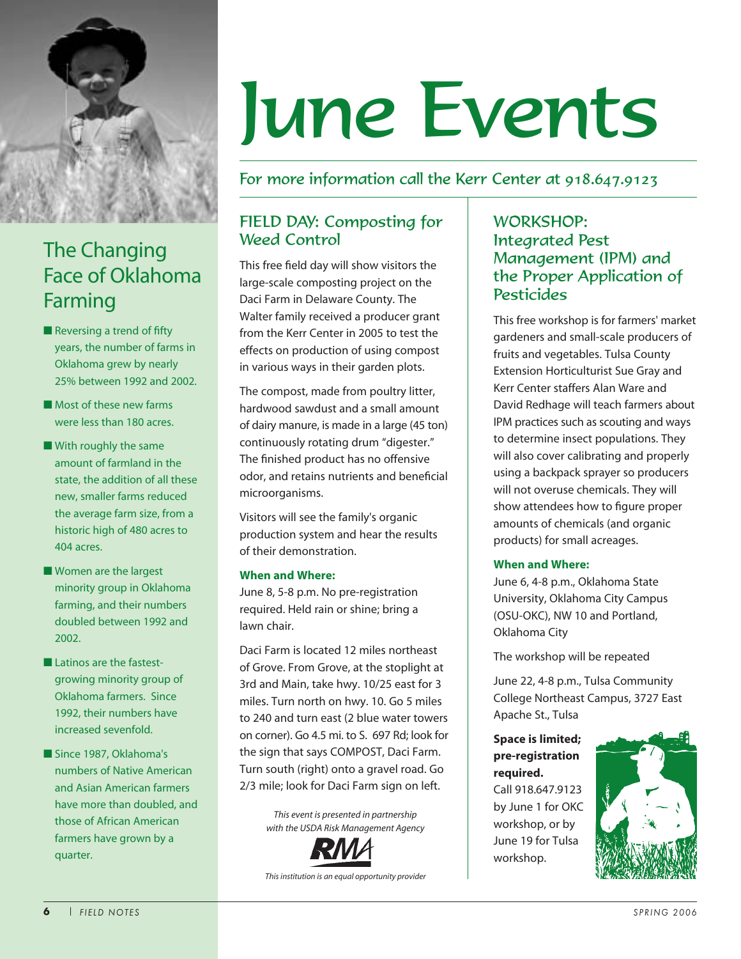

### The Changing Face of Oklahoma Farming

- Reversing a trend of fifty years, the number of farms in Oklahoma grew by nearly 25% between 1992 and 2002.
- Most of these new farms were less than 180 acres.
- With roughly the same amount of farmland in the state, the addition of all these new, smaller farms reduced the average farm size, from a historic high of 480 acres to 404 acres.
- Women are the largest minority group in Oklahoma farming, and their numbers doubled between 1992 and 2002.
- Latinos are the fastestgrowing minority group of Oklahoma farmers. Since 1992, their numbers have increased sevenfold.
- Since 1987, Oklahoma's numbers of Native American and Asian American farmers have more than doubled, and those of African American farmers have grown by a quarter.

# June Events

#### For more information call the Kerr Center at 918.647.9123

#### FIELD DAY: Composting for Weed Control

This free field day will show visitors the large-scale composting project on the Daci Farm in Delaware County. The Walter family received a producer grant from the Kerr Center in 2005 to test the effects on production of using compost in various ways in their garden plots.

The compost, made from poultry litter, hardwood sawdust and a small amount of dairy manure, is made in a large (45 ton) continuously rotating drum "digester." The finished product has no offensive odor, and retains nutrients and beneficial microorganisms.

Visitors will see the family's organic production system and hear the results of their demonstration.

#### **When and Where:**

June 8, 5-8 p.m. No pre-registration required. Held rain or shine; bring a lawn chair.

Daci Farm is located 12 miles northeast of Grove. From Grove, at the stoplight at 3rd and Main, take hwy. 10/25 east for 3 miles. Turn north on hwy. 10. Go 5 miles to 240 and turn east (2 blue water towers on corner). Go 4.5 mi. to S. 697 Rd; look for the sign that says COMPOST, Daci Farm. Turn south (right) onto a gravel road. Go 2/3 mile; look for Daci Farm sign on left.

> *This event is presented in partnership with the USDA Risk Management Agency*



*This institution is an equal opportunity provider*

#### WORKSHOP: Integrated Pest Management (IPM) and the Proper Application of Pesticides

This free workshop is for farmers' market gardeners and small-scale producers of fruits and vegetables. Tulsa County Extension Horticulturist Sue Gray and Kerr Center staffers Alan Ware and David Redhage will teach farmers about IPM practices such as scouting and ways to determine insect populations. They will also cover calibrating and properly using a backpack sprayer so producers will not overuse chemicals. They will show attendees how to figure proper amounts of chemicals (and organic products) for small acreages.

#### **When and Where:**

June 6, 4-8 p.m., Oklahoma State University, Oklahoma City Campus (OSU-OKC), NW 10 and Portland, Oklahoma City

The workshop will be repeated

June 22, 4-8 p.m., Tulsa Community College Northeast Campus, 3727 East Apache St., Tulsa

#### **Space is limited; pre-registration required.** Call 918.647.9123 by June 1 for OKC workshop, or by

workshop.

June 19 for Tulsa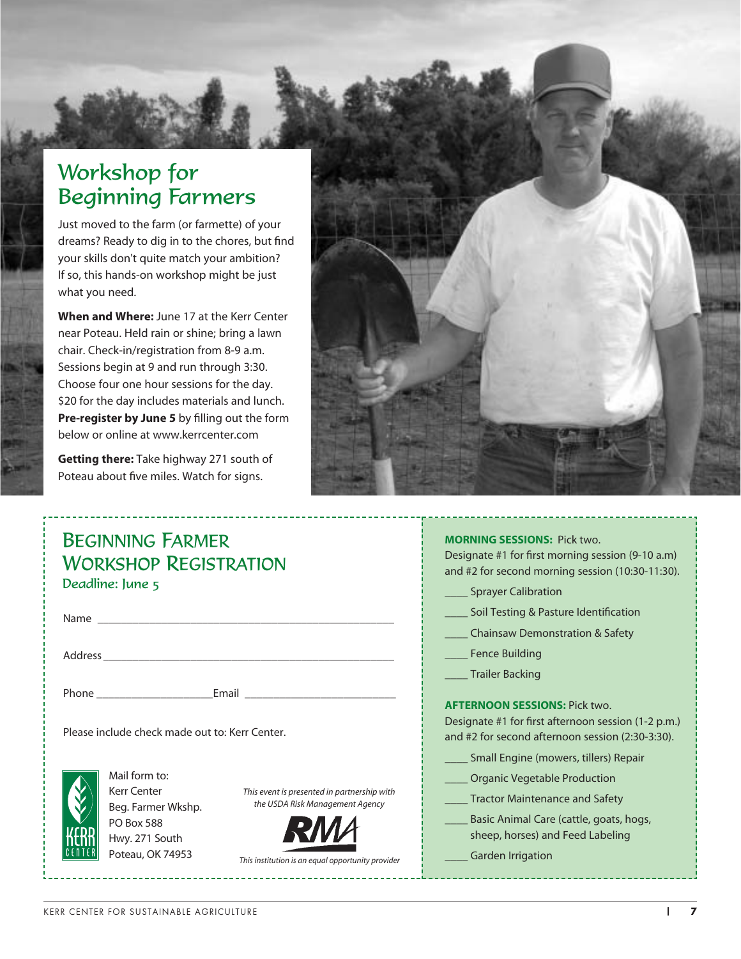### Workshop for Beginning Farmers

Just moved to the farm (or farmette) of your dreams? Ready to dig in to the chores, but find your skills don't quite match your ambition? If so, this hands-on workshop might be just what you need.

**When and Where:** June 17 at the Kerr Center near Poteau. Held rain or shine; bring a lawn chair. Check-in/registration from 8-9 a.m. Sessions begin at 9 and run through 3:30. Choose four one hour sessions for the day. \$20 for the day includes materials and lunch. **Pre-register by June 5** by filling out the form below or online at www.kerrcenter.com

**Getting there:** Take highway 271 south of Poteau about five miles. Watch for signs.



| <b>BEGINNING FARMER</b><br><b>WORKSHOP REGISTRATION</b><br>Deadline: June 5                                                                                                                                                                          | <b>MORNING SESSIONS: Pick two.</b><br>Designate #1 for first morning session (9-10 a.m)<br>and #2 for second morning session (10:30-11:30).<br>____ Sprayer Calibration                                            |
|------------------------------------------------------------------------------------------------------------------------------------------------------------------------------------------------------------------------------------------------------|--------------------------------------------------------------------------------------------------------------------------------------------------------------------------------------------------------------------|
|                                                                                                                                                                                                                                                      | Soil Testing & Pasture Identification                                                                                                                                                                              |
|                                                                                                                                                                                                                                                      | <b>Chainsaw Demonstration &amp; Safety</b><br>Fence Building<br>Trailer Backing                                                                                                                                    |
|                                                                                                                                                                                                                                                      |                                                                                                                                                                                                                    |
| Please include check made out to: Kerr Center.                                                                                                                                                                                                       | <b>AFTERNOON SESSIONS: Pick two.</b><br>Designate #1 for first afternoon session (1-2 p.m.)<br>and #2 for second afternoon session (2:30-3:30).                                                                    |
| Mail form to:<br><b>Kerr Center</b><br>This event is presented in partnership with<br>the USDA Risk Management Agency<br>Beg. Farmer Wkshp.<br>PO Box 588<br>Hwy. 271 South<br>Poteau, OK 74953<br>This institution is an equal opportunity provider | Small Engine (mowers, tillers) Repair<br>Organic Vegetable Production<br>Tractor Maintenance and Safety<br>Basic Animal Care (cattle, goats, hogs,<br>sheep, horses) and Feed Labeling<br><b>Garden Irrigation</b> |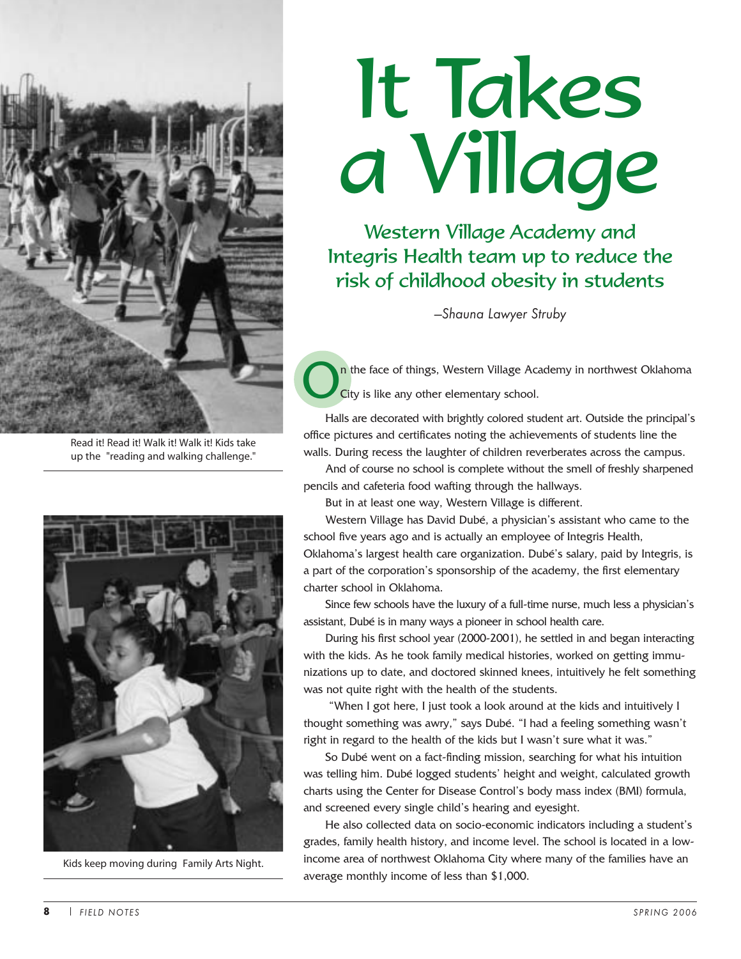

Read it! Read it! Walk it! Walk it! Kids take up the "reading and walking challenge."



Kids keep moving during Family Arts Night.

# It Takes a Village

Western Village Academy and Integris Health team up to reduce the risk of childhood obesity in students

*—Shauna Lawyer Struby*

n the face of things, Western Village Academy in northwest Oklahoma City is like any other elementary school.

Halls are decorated with brightly colored student art. Outside the principal's office pictures and certificates noting the achievements of students line the walls. During recess the laughter of children reverberates across the campus.

And of course no school is complete without the smell of freshly sharpened pencils and cafeteria food wafting through the hallways.

But in at least one way, Western Village is different.

Western Village has David Dubé, a physician's assistant who came to the school five years ago and is actually an employee of Integris Health, Oklahoma's largest health care organization. Dubé's salary, paid by Integris, is a part of the corporation's sponsorship of the academy, the first elementary charter school in Oklahoma.

Since few schools have the luxury of a full-time nurse, much less a physician's assistant, Dubé is in many ways a pioneer in school health care.

During his first school year (2000-2001), he settled in and began interacting with the kids. As he took family medical histories, worked on getting immunizations up to date, and doctored skinned knees, intuitively he felt something was not quite right with the health of the students.

"When I got here, I just took a look around at the kids and intuitively I thought something was awry," says Dubé. "I had a feeling something wasn't right in regard to the health of the kids but I wasn't sure what it was."

So Dubé went on a fact-finding mission, searching for what his intuition was telling him. Dubé logged students' height and weight, calculated growth charts using the Center for Disease Control's body mass index (BMI) formula, and screened every single child's hearing and eyesight.

He also collected data on socio-economic indicators including a student's grades, family health history, and income level. The school is located in a lowincome area of northwest Oklahoma City where many of the families have an average monthly income of less than \$1,000.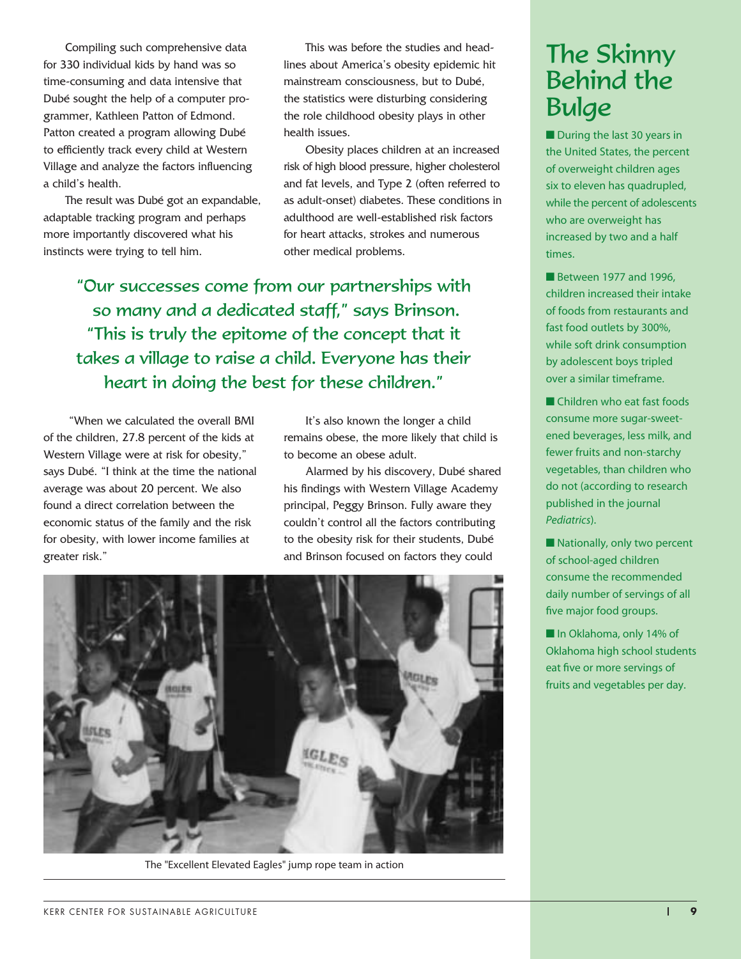Compiling such comprehensive data for 330 individual kids by hand was so time-consuming and data intensive that Dubé sought the help of a computer programmer, Kathleen Patton of Edmond. Patton created a program allowing Dubé to efficiently track every child at Western Village and analyze the factors influencing a child's health.

The result was Dubé got an expandable, adaptable tracking program and perhaps more importantly discovered what his instincts were trying to tell him.

This was before the studies and headlines about America's obesity epidemic hit mainstream consciousness, but to Dubé, the statistics were disturbing considering the role childhood obesity plays in other health issues.

Obesity places children at an increased risk of high blood pressure, higher cholesterol and fat levels, and Type 2 (often referred to as adult-onset) diabetes. These conditions in adulthood are well-established risk factors for heart attacks, strokes and numerous other medical problems.

"Our successes come from our partnerships with so many and a dedicated staff," says Brinson. "This is truly the epitome of the concept that it takes a village to raise a child. Everyone has their heart in doing the best for these children."

"When we calculated the overall BMI of the children, 27.8 percent of the kids at Western Village were at risk for obesity," says Dubé. "I think at the time the national average was about 20 percent. We also found a direct correlation between the economic status of the family and the risk for obesity, with lower income families at greater risk."

It's also known the longer a child remains obese, the more likely that child is to become an obese adult.

Alarmed by his discovery, Dubé shared his findings with Western Village Academy principal, Peggy Brinson. Fully aware they couldn't control all the factors contributing to the obesity risk for their students, Dubé and Brinson focused on factors they could



The "Excellent Elevated Eagles" jump rope team in action

### The Skinny Behind the Bulge

■ During the last 30 years in the United States, the percent of overweight children ages six to eleven has quadrupled, while the percent of adolescents who are overweight has increased by two and a half times.

Between 1977 and 1996. children increased their intake of foods from restaurants and fast food outlets by 300%, while soft drink consumption by adolescent boys tripled over a similar timeframe.

■ Children who eat fast foods consume more sugar-sweetened beverages, less milk, and fewer fruits and non-starchy vegetables, than children who do not (according to research published in the journal *Pediatrics*).

■ Nationally, only two percent of school-aged children consume the recommended daily number of servings of all five major food groups.

■ In Oklahoma, only 14% of Oklahoma high school students eat five or more servings of fruits and vegetables per day.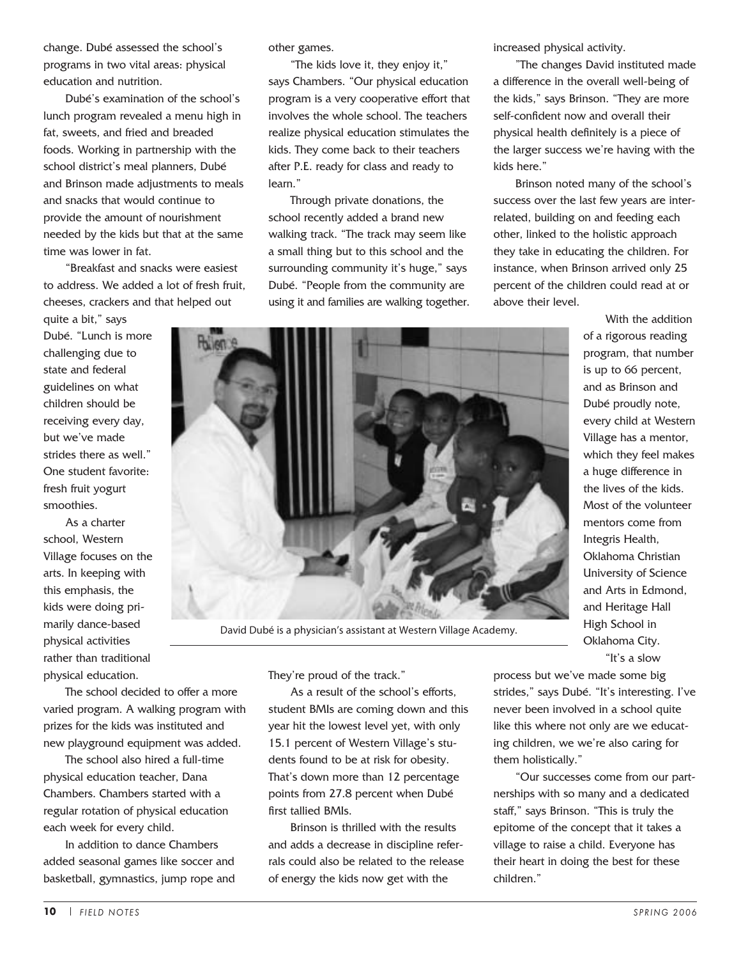change. Dubé assessed the school's programs in two vital areas: physical education and nutrition.

Dubé's examination of the school's lunch program revealed a menu high in fat, sweets, and fried and breaded foods. Working in partnership with the school district's meal planners, Dubé and Brinson made adjustments to meals and snacks that would continue to provide the amount of nourishment needed by the kids but that at the same time was lower in fat.

"Breakfast and snacks were easiest to address. We added a lot of fresh fruit, cheeses, crackers and that helped out

quite a bit," says Dubé. "Lunch is more challenging due to state and federal guidelines on what children should be receiving every day, but we've made strides there as well." One student favorite: fresh fruit yogurt smoothies.

As a charter school, Western Village focuses on the arts. In keeping with this emphasis, the kids were doing primarily dance-based physical activities rather than traditional physical education.

The school decided to offer a more varied program. A walking program with prizes for the kids was instituted and new playground equipment was added.

The school also hired a full-time physical education teacher, Dana Chambers. Chambers started with a regular rotation of physical education each week for every child.

In addition to dance Chambers added seasonal games like soccer and basketball, gymnastics, jump rope and other games.

"The kids love it, they enjoy it," says Chambers. "Our physical education program is a very cooperative effort that involves the whole school. The teachers realize physical education stimulates the kids. They come back to their teachers after P.E. ready for class and ready to learn."

Through private donations, the school recently added a brand new walking track. "The track may seem like a small thing but to this school and the surrounding community it's huge," says Dubé. "People from the community are using it and families are walking together. increased physical activity.

"The changes David instituted made a difference in the overall well-being of the kids," says Brinson. "They are more self-confident now and overall their physical health definitely is a piece of the larger success we're having with the kids here."

Brinson noted many of the school's success over the last few years are interrelated, building on and feeding each other, linked to the holistic approach they take in educating the children. For instance, when Brinson arrived only 25 percent of the children could read at or above their level.

> With the addition of a rigorous reading program, that number is up to 66 percent, and as Brinson and Dubé proudly note, every child at Western Village has a mentor, which they feel makes a huge difference in the lives of the kids. Most of the volunteer mentors come from Integris Health, Oklahoma Christian University of Science and Arts in Edmond, and Heritage Hall High School in Oklahoma City. "It's a slow

David Dubé is a physician's assistant at Western Village Academy.

They're proud of the track."

As a result of the school's efforts, student BMIs are coming down and this year hit the lowest level yet, with only 15.1 percent of Western Village's students found to be at risk for obesity. That's down more than 12 percentage points from 27.8 percent when Dubé first tallied BMIs.

Brinson is thrilled with the results and adds a decrease in discipline referrals could also be related to the release of energy the kids now get with the

process but we've made some big strides," says Dubé. "It's interesting. I've never been involved in a school quite like this where not only are we educating children, we we're also caring for them holistically."

"Our successes come from our partnerships with so many and a dedicated staff," says Brinson. "This is truly the epitome of the concept that it takes a village to raise a child. Everyone has their heart in doing the best for these children."

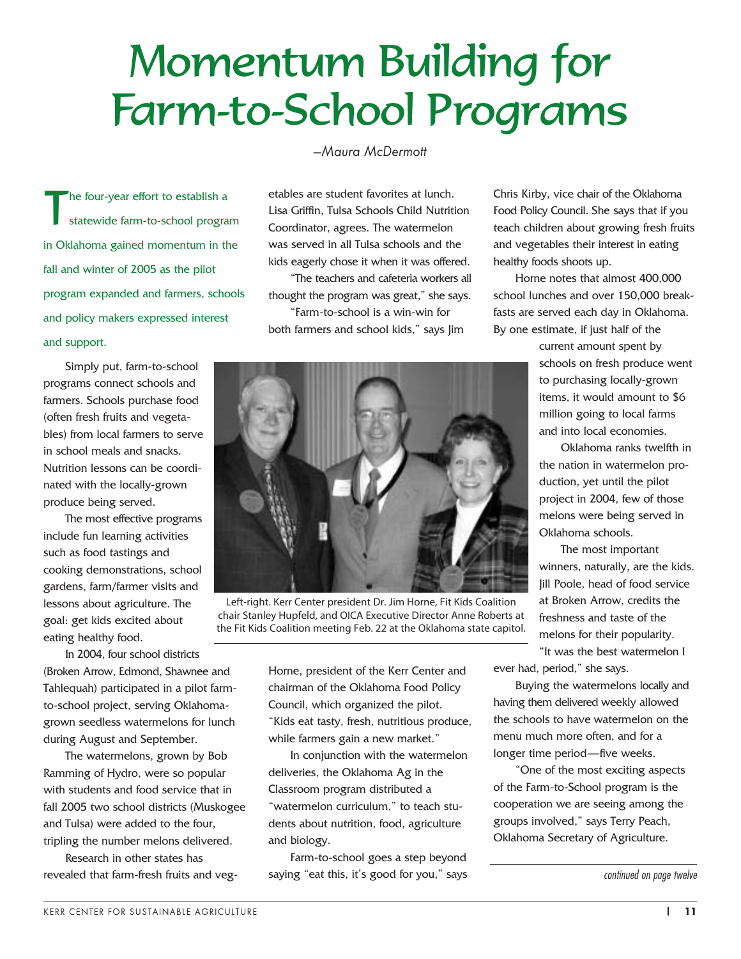# Momentum Building for Farm-to-School Programs

The four-year effort to establish a<br>statewide farm-to-school program statewide farm-to-school program in Oklahoma gained momentum in the fall and winter of 2005 as the pilot program expanded and farmers, schools and policy makers expressed interest and support.

Simply put, farm-to-school programs connect schools and farmers. Schools purchase food (often fresh fruits and vegetables) from local farmers to serve in school meals and snacks. Nutrition lessons can be coordinated with the locally-grown produce being served.

The most effective programs include fun learning activities such as food tastings and cooking demonstrations, school gardens, farm/farmer visits and lessons about agriculture. The goal: get kids excited about eating healthy food.

In 2004, four school districts (Broken Arrow, Edmond, Shawnee and Tahlequah) participated in a pilot farmto-school project, serving Oklahomagrown seedless watermelons for lunch during August and September.

The watermelons, grown by Bob Ramming of Hydro, were so popular with students and food service that in fall 2005 two school districts (Muskogee and Tulsa) were added to the four, tripling the number melons delivered.

Research in other states has revealed that farm-fresh fruits and veg*—Maura McDermott*

etables are student favorites at lunch. Lisa Griffin, Tulsa Schools Child Nutrition Coordinator, agrees. The watermelon was served in all Tulsa schools and the kids eagerly chose it when it was offered.

"The teachers and cafeteria workers all thought the program was great," she says. "Farm-to-school is a win-win for both farmers and school kids," says Jim

Left-right. Kerr Center president Dr. Jim Horne, Fit Kids Coalition chair Stanley Hupfeld, and OICA Executive Director Anne Roberts at the Fit Kids Coalition meeting Feb. 22 at the Oklahoma state capitol.

Horne, president of the Kerr Center and chairman of the Oklahoma Food Policy Council, which organized the pilot. "Kids eat tasty, fresh, nutritious produce, while farmers gain a new market."

In conjunction with the watermelon deliveries, the Oklahoma Ag in the Classroom program distributed a "watermelon curriculum," to teach students about nutrition, food, agriculture and biology.

Farm-to-school goes a step beyond saying "eat this, it's good for you," says Chris Kirby, vice chair of the Oklahoma Food Policy Council. She says that if you teach children about growing fresh fruits and vegetables their interest in eating healthy foods shoots up.

Horne notes that almost 400,000 school lunches and over 150,000 breakfasts are served each day in Oklahoma. By one estimate, if just half of the

> current amount spent by schools on fresh produce went to purchasing locally-grown items, it would amount to \$6 million going to local farms and into local economies.

Oklahoma ranks twelfth in the nation in watermelon production, yet until the pilot project in 2004, few of those melons were being served in Oklahoma schools.

The most important winners, naturally, are the kids. Jill Poole, head of food service at Broken Arrow, credits the freshness and taste of the melons for their popularity. "It was the best watermelon I

ever had, period," she says.

Buying the watermelons locally and having them delivered weekly allowed the schools to have watermelon on the menu much more often, and for a longer time period—five weeks.

"One of the most exciting aspects of the Farm-to-School program is the cooperation we are seeing among the groups involved," says Terry Peach, Oklahoma Secretary of Agriculture.



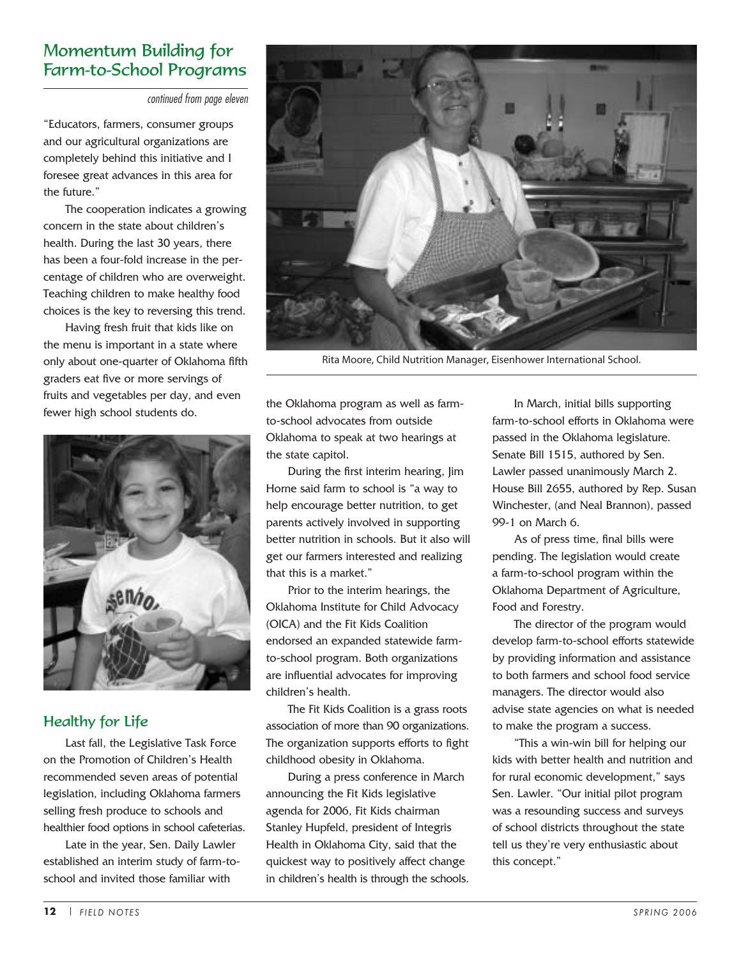#### Momentum Building for Farm-to-School Programs

continued from page eleven

"Educators, farmers, consumer groups and our agricultural organizations are completely behind this initiative and I foresee great advances in this area for the future."

The cooperation indicates a growing concern in the state about children's health. During the last 30 years, there has been a four-fold increase in the percentage of children who are overweight. Teaching children to make healthy food choices is the key to reversing this trend.

Having fresh fruit that kids like on the menu is important in a state where only about one-quarter of Oklahoma fifth graders eat five or more servings of fruits and vegetables per day, and even fewer high school students do.



#### Healthy for Life

Last fall, the Legislative Task Force on the Promotion of Children's Health recommended seven areas of potential legislation, including Oklahoma farmers selling fresh produce to schools and healthier food options in school cafeterias.

Late in the year, Sen. Daily Lawler established an interim study of farm-toschool and invited those familiar with



Rita Moore, Child Nutrition Manager, Eisenhower International School.

the Oklahoma program as well as farmto-school advocates from outside Oklahoma to speak at two hearings at the state capitol.

During the first interim hearing, Jim Horne said farm to school is "a way to help encourage better nutrition, to get parents actively involved in supporting better nutrition in schools. But it also will get our farmers interested and realizing that this is a market."

Prior to the interim hearings, the Oklahoma Institute for Child Advocacy (OICA) and the Fit Kids Coalition endorsed an expanded statewide farmto-school program. Both organizations are influential advocates for improving children's health.

The Fit Kids Coalition is a grass roots association of more than 90 organizations. The organization supports efforts to fight childhood obesity in Oklahoma.

During a press conference in March announcing the Fit Kids legislative agenda for 2006, Fit Kids chairman Stanley Hupfeld, president of Integris Health in Oklahoma City, said that the quickest way to positively affect change in children's health is through the schools.

In March, initial bills supporting farm-to-school efforts in Oklahoma were passed in the Oklahoma legislature. Senate Bill 1515, authored by Sen. Lawler passed unanimously March 2. House Bill 2655, authored by Rep. Susan Winchester, (and Neal Brannon), passed 99-1 on March 6.

As of press time, final bills were pending. The legislation would create a farm-to-school program within the Oklahoma Department of Agriculture, Food and Forestry.

The director of the program would develop farm-to-school efforts statewide by providing information and assistance to both farmers and school food service managers. The director would also advise state agencies on what is needed to make the program a success.

"This a win-win bill for helping our kids with better health and nutrition and for rural economic development," says Sen. Lawler. "Our initial pilot program was a resounding success and surveys of school districts throughout the state tell us they're very enthusiastic about this concept."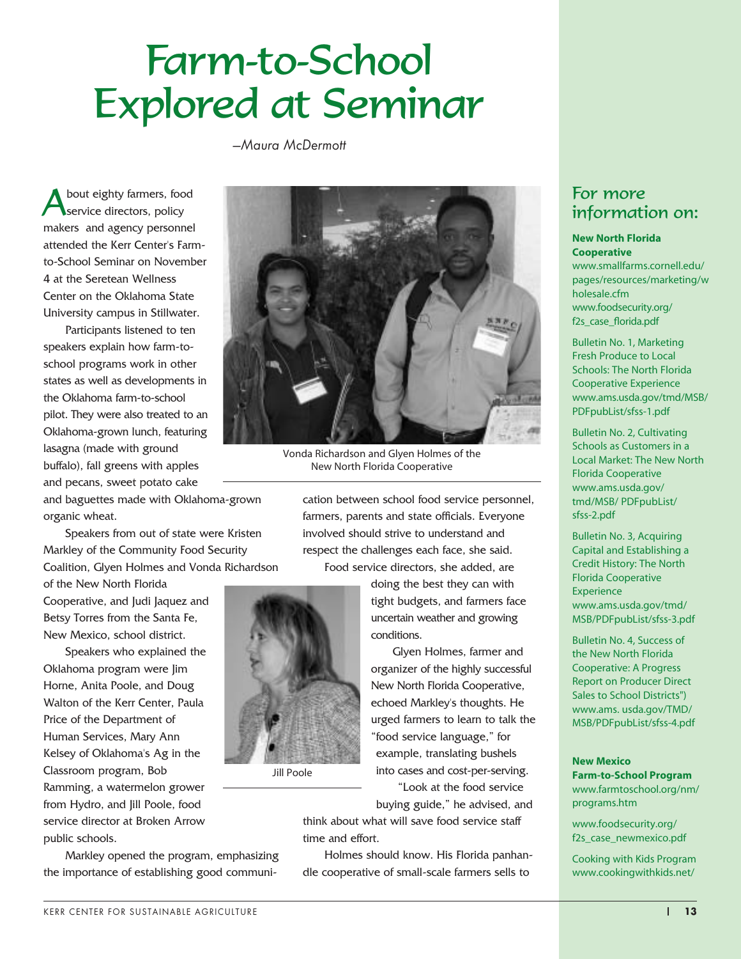# Farm-to-School Explored at Seminar

*—Maura McDermott*

bout eighty farmers, food service directors, policy makers and agency personnel attended the Kerr Center's Farmto-School Seminar on November 4 at the Seretean Wellness Center on the Oklahoma State University campus in Stillwater.

Participants listened to ten speakers explain how farm-toschool programs work in other states as well as developments in the Oklahoma farm-to-school pilot. They were also treated to an Oklahoma-grown lunch, featuring lasagna (made with ground buffalo), fall greens with apples and pecans, sweet potato cake



Vonda Richardson and Glyen Holmes of the New North Florida Cooperative

and baguettes made with Oklahoma-grown organic wheat.

Speakers from out of state were Kristen Markley of the Community Food Security Coalition, Glyen Holmes and Vonda Richardson

of the New North Florida Cooperative, and Judi Jaquez and Betsy Torres from the Santa Fe, New Mexico, school district.

Speakers who explained the Oklahoma program were Jim Horne, Anita Poole, and Doug Walton of the Kerr Center, Paula Price of the Department of Human Services, Mary Ann Kelsey of Oklahoma's Ag in the Classroom program, Bob Ramming, a watermelon grower from Hydro, and Jill Poole, food service director at Broken Arrow public schools.

Markley opened the program, emphasizing the importance of establishing good communi-

cation between school food service personnel, farmers, parents and state officials. Everyone involved should strive to understand and respect the challenges each face, she said. Food service directors, she added, are

> doing the best they can with tight budgets, and farmers face uncertain weather and growing conditions.

Glyen Holmes, farmer and organizer of the highly successful New North Florida Cooperative, echoed Markley's thoughts. He urged farmers to learn to talk the "food service language," for example, translating bushels into cases and cost-per-serving.

"Look at the food service buying guide," he advised, and

think about what will save food service staff time and effort.

Holmes should know. His Florida panhandle cooperative of small-scale farmers sells to

#### For more information on:

#### **New North Florida Cooperative**

www.smallfarms.cornell.edu/ pages/resources/marketing/w holesale.cfm www.foodsecurity.org/ f2s\_case\_florida.pdf

Bulletin No. 1, Marketing Fresh Produce to Local Schools: The North Florida Cooperative Experience www.ams.usda.gov/tmd/MSB/ PDFpubList/sfss-1.pdf

Bulletin No. 2, Cultivating Schools as Customers in a Local Market: The New North Florida Cooperative www.ams.usda.gov/ tmd/MSB/ PDFpubList/ sfss-2.pdf

Bulletin No. 3, Acquiring Capital and Establishing a Credit History: The North Florida Cooperative **Experience** www.ams.usda.gov/tmd/ MSB/PDFpubList/sfss-3.pdf

Bulletin No. 4, Success of the New North Florida Cooperative: A Progress Report on Producer Direct Sales to School Districts") www.ams. usda.gov/TMD/ MSB/PDFpubList/sfss-4.pdf

#### **New Mexico Farm-to-School Program**

www.farmtoschool.org/nm/ programs.htm

www.foodsecurity.org/ f2s\_case\_newmexico.pdf

Cooking with Kids Program www.cookingwithkids.net/



Jill Poole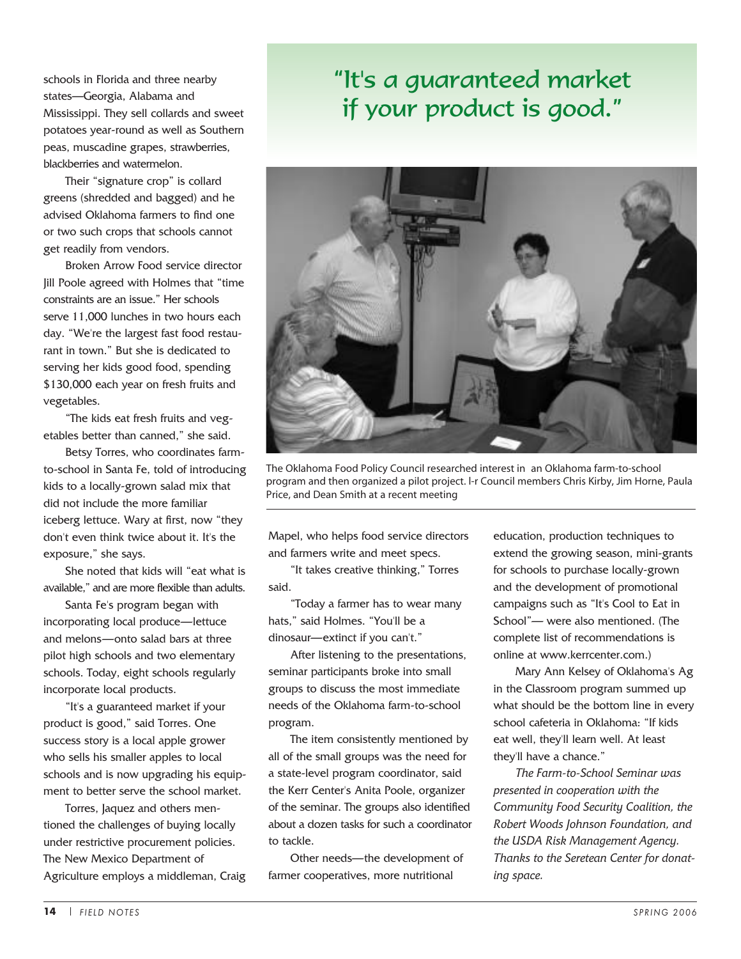schools in Florida and three nearby states—Georgia, Alabama and Mississippi. They sell collards and sweet potatoes year-round as well as Southern peas, muscadine grapes, strawberries, blackberries and watermelon.

Their "signature crop" is collard greens (shredded and bagged) and he advised Oklahoma farmers to find one or two such crops that schools cannot get readily from vendors.

Broken Arrow Food service director Jill Poole agreed with Holmes that "time constraints are an issue." Her schools serve 11,000 lunches in two hours each day. "We're the largest fast food restaurant in town." But she is dedicated to serving her kids good food, spending \$130,000 each year on fresh fruits and vegetables.

"The kids eat fresh fruits and vegetables better than canned," she said.

Betsy Torres, who coordinates farmto-school in Santa Fe, told of introducing kids to a locally-grown salad mix that did not include the more familiar iceberg lettuce. Wary at first, now "they don't even think twice about it. It's the exposure," she says.

She noted that kids will "eat what is available," and are more flexible than adults.

Santa Fe's program began with incorporating local produce—lettuce and melons—onto salad bars at three pilot high schools and two elementary schools. Today, eight schools regularly incorporate local products.

"It's a guaranteed market if your product is good," said Torres. One success story is a local apple grower who sells his smaller apples to local schools and is now upgrading his equipment to better serve the school market.

Torres, Jaquez and others mentioned the challenges of buying locally under restrictive procurement policies. The New Mexico Department of Agriculture employs a middleman, Craig

### "It's a guaranteed market if your product is good."



The Oklahoma Food Policy Council researched interest in an Oklahoma farm-to-school program and then organized a pilot project. l-r Council members Chris Kirby, Jim Horne, Paula Price, and Dean Smith at a recent meeting

Mapel, who helps food service directors and farmers write and meet specs.

"It takes creative thinking," Torres said.

"Today a farmer has to wear many hats," said Holmes. "You'll be a dinosaur—extinct if you can't."

After listening to the presentations, seminar participants broke into small groups to discuss the most immediate needs of the Oklahoma farm-to-school program.

The item consistently mentioned by all of the small groups was the need for a state-level program coordinator, said the Kerr Center's Anita Poole, organizer of the seminar. The groups also identified about a dozen tasks for such a coordinator to tackle.

Other needs—the development of farmer cooperatives, more nutritional

education, production techniques to extend the growing season, mini-grants for schools to purchase locally-grown and the development of promotional campaigns such as "It's Cool to Eat in School"— were also mentioned. (The complete list of recommendations is online at www.kerrcenter.com.)

Mary Ann Kelsey of Oklahoma's Ag in the Classroom program summed up what should be the bottom line in every school cafeteria in Oklahoma: "If kids eat well, they'll learn well. At least they'll have a chance."

*The Farm-to-School Seminar was presented in cooperation with the Community Food Security Coalition, the Robert Woods Johnson Foundation, and the USDA Risk Management Agency. Thanks to the Seretean Center for donating space.*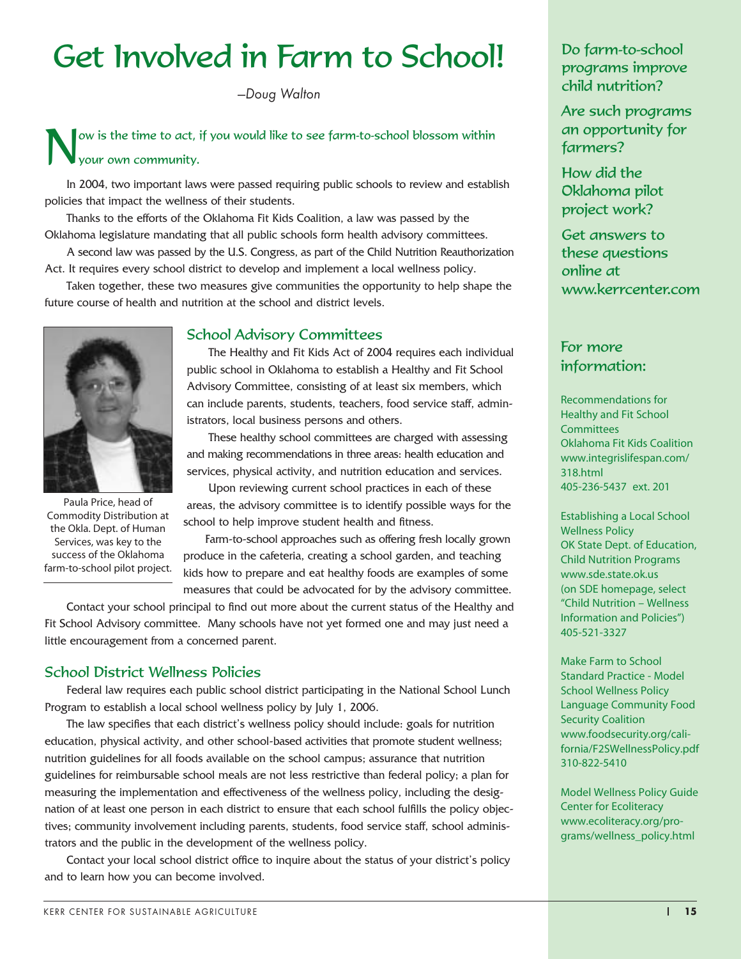## Get Involved in Farm to School!

*—Doug Walton*

#### ow is the time to act, if you would like to see farm-to-school blossom within your own community.

In 2004, two important laws were passed requiring public schools to review and establish policies that impact the wellness of their students.

Thanks to the efforts of the Oklahoma Fit Kids Coalition, a law was passed by the Oklahoma legislature mandating that all public schools form health advisory committees.

A second law was passed by the U.S. Congress, as part of the Child Nutrition Reauthorization Act. It requires every school district to develop and implement a local wellness policy.

Taken together, these two measures give communities the opportunity to help shape the future course of health and nutrition at the school and district levels.

#### School Advisory Committees

The Healthy and Fit Kids Act of 2004 requires each individual public school in Oklahoma to establish a Healthy and Fit School Advisory Committee, consisting of at least six members, which can include parents, students, teachers, food service staff, administrators, local business persons and others.

These healthy school committees are charged with assessing and making recommendations in three areas: health education and services, physical activity, and nutrition education and services.

Upon reviewing current school practices in each of these areas, the advisory committee is to identify possible ways for the school to help improve student health and fitness.

Farm-to-school approaches such as offering fresh locally grown produce in the cafeteria, creating a school garden, and teaching kids how to prepare and eat healthy foods are examples of some measures that could be advocated for by the advisory committee.

Contact your school principal to find out more about the current status of the Healthy and Fit School Advisory committee. Many schools have not yet formed one and may just need a little encouragement from a concerned parent.

#### School District Wellness Policies

Federal law requires each public school district participating in the National School Lunch Program to establish a local school wellness policy by July 1, 2006.

The law specifies that each district's wellness policy should include: goals for nutrition education, physical activity, and other school-based activities that promote student wellness; nutrition guidelines for all foods available on the school campus; assurance that nutrition guidelines for reimbursable school meals are not less restrictive than federal policy; a plan for measuring the implementation and effectiveness of the wellness policy, including the designation of at least one person in each district to ensure that each school fulfills the policy objectives; community involvement including parents, students, food service staff, school administrators and the public in the development of the wellness policy.

Contact your local school district office to inquire about the status of your district's policy and to learn how you can become involved.

#### Do farm-to-school programs improve child nutrition?

Are such programs an opportunity for farmers?

How did the Oklahoma pilot project work?

Get answers to these questions online at www.kerrcenter.com

#### For more information:

Recommendations for Healthy and Fit School **Committees** Oklahoma Fit Kids Coalition www.integrislifespan.com/ 318.html 405-236-5437 ext. 201

Establishing a Local School Wellness Policy OK State Dept. of Education, Child Nutrition Programs www.sde.state.ok.us (on SDE homepage, select "Child Nutrition – Wellness Information and Policies") 405-521-3327

Make Farm to School Standard Practice - Model School Wellness Policy Language Community Food Security Coalition www.foodsecurity.org/california/F2SWellnessPolicy.pdf 310-822-5410

Model Wellness Policy Guide Center for Ecoliteracy www.ecoliteracy.org/programs/wellness\_policy.html



Paula Price, head of Commodity Distribution at the Okla. Dept. of Human Services, was key to the success of the Oklahoma farm-to-school pilot project.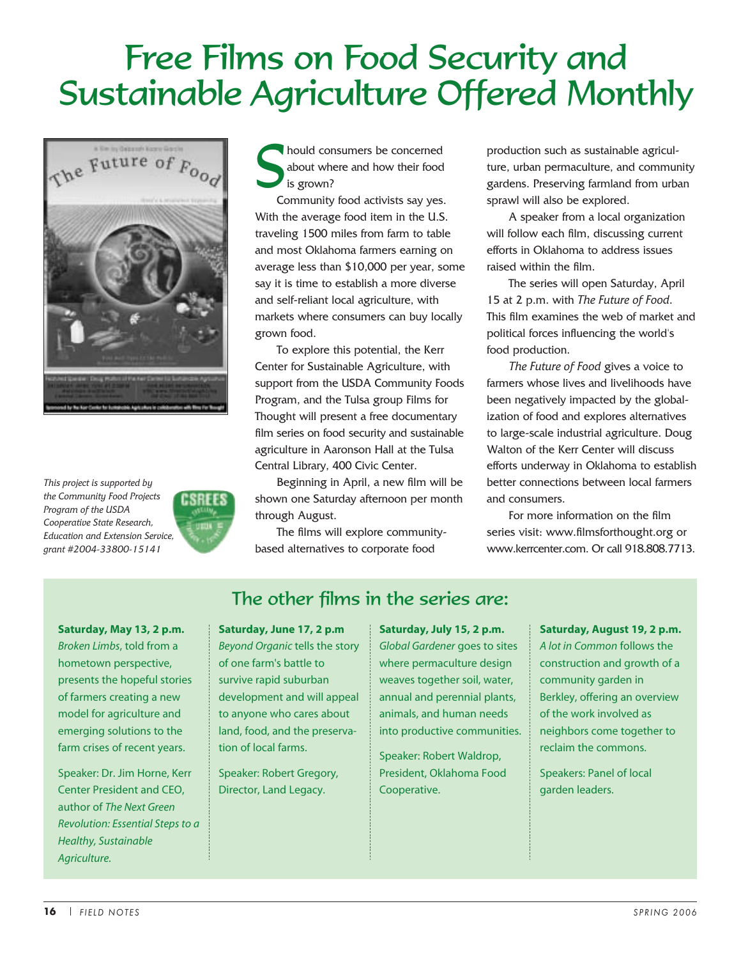# Free Films on Food Security and Sustainable Agriculture Offered Monthly



*This project is supported by the Community Food Projects Program of the USDA Cooperative State Research, Education and Extension Service, grant #2004-33800-15141*



hould consumers be concerned<br>about where and how their food<br>is grown? about where and how their food is grown?

Community food activists say yes. With the average food item in the U.S. traveling 1500 miles from farm to table and most Oklahoma farmers earning on average less than \$10,000 per year, some say it is time to establish a more diverse and self-reliant local agriculture, with markets where consumers can buy locally grown food.

To explore this potential, the Kerr Center for Sustainable Agriculture, with support from the USDA Community Foods Program, and the Tulsa group Films for Thought will present a free documentary film series on food security and sustainable agriculture in Aaronson Hall at the Tulsa Central Library, 400 Civic Center.

Beginning in April, a new film will be shown one Saturday afternoon per month through August.

The films will explore communitybased alternatives to corporate food

production such as sustainable agriculture, urban permaculture, and community gardens. Preserving farmland from urban sprawl will also be explored.

A speaker from a local organization will follow each film, discussing current efforts in Oklahoma to address issues raised within the film.

The series will open Saturday, April 15 at 2 p.m. with *The Future of Food*. This film examines the web of market and political forces influencing the world's food production.

*The Future of Food* gives a voice to farmers whose lives and livelihoods have been negatively impacted by the globalization of food and explores alternatives to large-scale industrial agriculture. Doug Walton of the Kerr Center will discuss efforts underway in Oklahoma to establish better connections between local farmers and consumers.

For more information on the film series visit: www.filmsforthought.org or www.kerrcenter.com. Or call 918.808.7713.

**Saturday, May 13, 2 p.m.**  *Broken Limbs*, told from a hometown perspective, presents the hopeful stories of farmers creating a new model for agriculture and emerging solutions to the farm crises of recent years.

Speaker: Dr. Jim Horne, Kerr Center President and CEO, author of *The Next Green Revolution: Essential Steps to a Healthy, Sustainable Agriculture.*

#### The other films in the series are:

**Saturday, June 17, 2 p.m**  *Beyond Organic* tells the story of one farm's battle to survive rapid suburban development and will appeal to anyone who cares about land, food, and the preservation of local farms.

Speaker: Robert Gregory, Director, Land Legacy.

**Saturday, July 15, 2 p.m.**  *Global Gardener* goes to sites where permaculture design weaves together soil, water, annual and perennial plants, animals, and human needs into productive communities.

Speaker: Robert Waldrop, President, Oklahoma Food Cooperative.

**Saturday, August 19, 2 p.m.** *A lot in Common* follows the construction and growth of a community garden in Berkley, offering an overview of the work involved as neighbors come together to reclaim the commons.

Speakers: Panel of local garden leaders.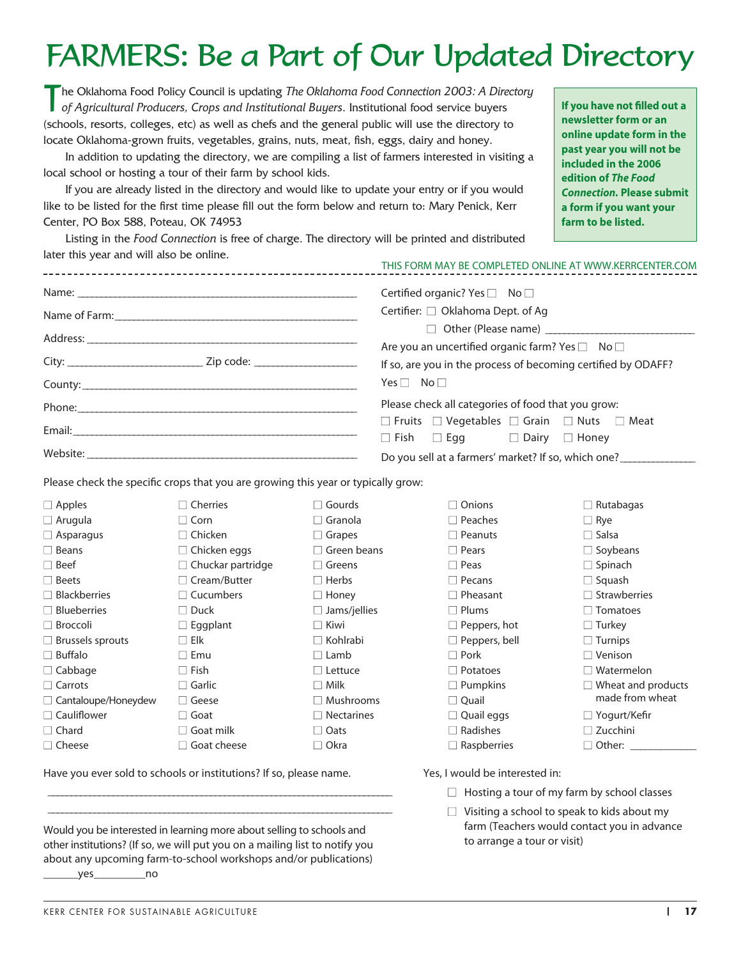## FARMERS: Be a Part of Our Updated Directory

The Oklahoma Food Policy Council is updating *The Oklahoma Food Connection 2003: A Directory of Agricultural Producers, Crops and Institutional Buyers*. Institutional food service buyers (schools, resorts, colleges, etc) as well as chefs and the general public will use the directory to locate Oklahoma-grown fruits, vegetables, grains, nuts, meat, fish, eggs, dairy and honey.

In addition to updating the directory, we are compiling a list of farmers interested in visiting a local school or hosting a tour of their farm by school kids.

If you are already listed in the directory and would like to update your entry or if you would like to be listed for the first time please fill out the form below and return to: Mary Penick, Kerr Center, PO Box 588, Poteau, OK 74953

**If you have not filled out a newsletter form or an online update form in the past year you will not be included in the 2006 edition of** *The Food Connection.* **Please submit a form if you want your farm to be listed.**

Listing in the *Food Connection* is free of charge. The directory will be printed and distributed later this year and will also be online.

|                                                                                                                                                                                                                                | THIS FORM MAY BE COMPLETED ONLINE AT WWW.KERRCENTER.COM                                                                                                                                                                                                    |
|--------------------------------------------------------------------------------------------------------------------------------------------------------------------------------------------------------------------------------|------------------------------------------------------------------------------------------------------------------------------------------------------------------------------------------------------------------------------------------------------------|
| County: county: county: county: county: county: county: county: county: county: county: county: county: county: county: county: county: county: county: county: county: county: county: county: county: county: county: county | Certified organic? Yes □ No □<br>Certifier: □ Oklahoma Dept. of Ag<br>$\Box$ Other (Please name)<br>Are you an uncertified organic farm? Yes $\square$ No $\square$<br>If so, are you in the process of becoming certified by ODAFF?<br>$Yes \Box No \Box$ |
| Website: New York: New York: New York: New York: New York: New York: New York: New York: New York: New York: New York: New York: New York: New York: New York: New York: New York: New York: New York: New York: New York: New | Please check all categories of food that you grow:<br>$\Box$ Fruits $\Box$ Vegetables $\Box$ Grain $\Box$ Nuts $\Box$ Meat<br>$\Box$ Fish $\Box$ Egg $\Box$ Dairy $\Box$ Honey<br>Do you sell at a farmers' market? If so, which one?                      |
|                                                                                                                                                                                                                                |                                                                                                                                                                                                                                                            |

□ Gourds □ Granola ■ Grapes  $\square$  Green beans □ Greens □ Herbs □ Honey  $\Box$  Jams/jellies ■ Kiwi ■ Kohlrabi □ Lamb □ Lettuce ■ Milk □ Mushrooms  $\Box$  Nectarines □ Oats ■ Okra

Please check the specific crops that you are growing this year or typically grow:

| $\Box$ Apples           | $\sqcap$ Cherries        |
|-------------------------|--------------------------|
| $\Box$ Arugula          | l Corn                   |
| $\Box$ Asparagus        | $\sqcap$ Chicken         |
| $\Box$ Beans            | $\Box$ Chicken eggs      |
| – Beef                  | $\Box$ Chuckar partridge |
| <b>Beets</b>            | $\sqcap$ Cream/Butter    |
| $\sqcap$ Blackberries   | $\Box$ Cucumbers         |
| ∃ Blueberries           | $\sqcap$ Duck            |
| □ Broccoli              | $\Box$ Eggplant          |
| $\Box$ Brussels sprouts | Flk                      |
| ∃ Buffalo               | ∣ Emu                    |
| $\Box$ Cabbage          | $\sqcap$ Fish            |
| $\top$ Carrots          | $\sqcap$ Garlic          |
| □ Cantaloupe/Honeydew   | Geese                    |
| $\Box$ Cauliflower      | Goat<br>$\mathbf{I}$     |
| $\sqcap$ Chard          | Goat milk                |
| l Cheese                | Goat cheese              |

Have you ever sold to schools or institutions? If so, please name.

Would you be interested in learning more about selling to schools and other institutions? (If so, we will put you on a mailing list to notify you about any upcoming farm-to-school workshops and/or publications) \_\_\_\_\_\_yes\_\_\_\_\_\_\_\_\_no

 \_ \_ \_ \_ \_ \_ \_ \_ \_ \_ \_ \_ \_ \_ \_ \_ \_ \_ \_ \_ \_ \_ \_ \_ \_ \_ \_ \_ \_ \_ \_ \_ \_ \_ \_ \_ \_ \_ \_ \_ \_ \_ \_ \_ \_ \_ \_ \_ \_ \_ \_ \_ \_ \_ \_ \_ \_ \_ \_ \_ \_ \_ \_ \_ \_ \_ \_ \_ \_ \_ \_ \_ \_ \_ \_ \_ \_ \_ \_ \_ \_ \_ \_ \_ \_ \_ \_ \_ \_ \_ \_ \_ \_ \_ \_ \_ \_ \_ \_ \_ \_ \_ \_ \_ \_ \_ \_ \_ \_ \_ \_ \_ \_ \_ \_ \_ \_ \_ \_ \_ \_ \_ \_ \_ \_ \_ \_ \_ \_ \_ \_ \_ \_ \_ \_ \_ \_ \_ \_ \_ \_ \_ \_ \_ \_ \_ \_ \_ □ Onions □ Peaches ■ Peanuts ■ Pears ■ Peas □ Pecans ■ Pheasant ■ Plums  $\square$  Peppers, hot □ Peppers, bell ■ Pork □ Potatoes □ Pumpkins ■ Quail □ Quail eggs □ Radishes  $\square$  Raspberries  $\Box$  Rutabagas ■ Rye ■ Salsa  $\square$  Soybeans  $\square$  Spinach □ Squash  $\Box$  Strawberries □ Tomatoes □ Turkey □ Turnips □ Venison  $\square$  Watermelon  $\Box$  Wheat and products

made from wheat □ Yogurt/Kefir

□ Zucchini

 $\Box$  Other:

Yes, I would be interested in:

- $\Box$  Hosting a tour of my farm by school classes
- $\Box$  Visiting a school to speak to kids about my farm (Teachers would contact you in advance to arrange a tour or visit)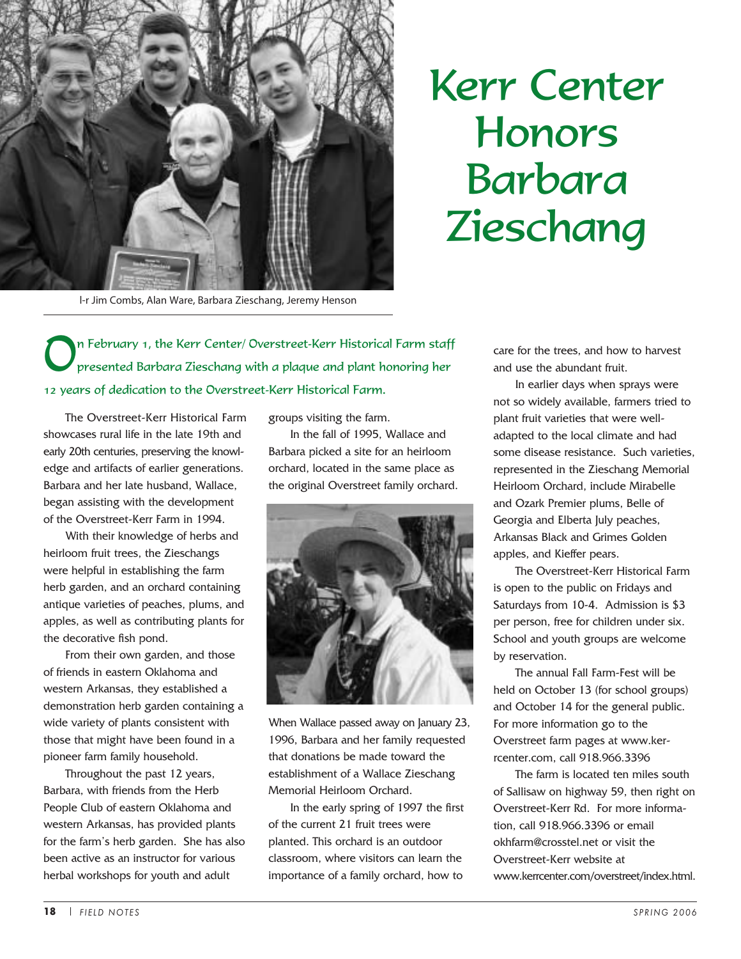

# Kerr Center Honors Barbara Zieschang

l-r Jim Combs, Alan Ware, Barbara Zieschang, Jeremy Henson

On February 1, the Kerr Center/ Overstreet-Kerr Historical Farm staff presented Barbara Zieschang with a plaque and plant honoring her 12 years of dedication to the Overstreet-Kerr Historical Farm.

The Overstreet-Kerr Historical Farm showcases rural life in the late 19th and early 20th centuries, preserving the knowledge and artifacts of earlier generations. Barbara and her late husband, Wallace, began assisting with the development of the Overstreet-Kerr Farm in 1994.

With their knowledge of herbs and heirloom fruit trees, the Zieschangs were helpful in establishing the farm herb garden, and an orchard containing antique varieties of peaches, plums, and apples, as well as contributing plants for the decorative fish pond.

From their own garden, and those of friends in eastern Oklahoma and western Arkansas, they established a demonstration herb garden containing a wide variety of plants consistent with those that might have been found in a pioneer farm family household.

Throughout the past 12 years, Barbara, with friends from the Herb People Club of eastern Oklahoma and western Arkansas, has provided plants for the farm's herb garden. She has also been active as an instructor for various herbal workshops for youth and adult

groups visiting the farm.

In the fall of 1995, Wallace and Barbara picked a site for an heirloom orchard, located in the same place as the original Overstreet family orchard.



When Wallace passed away on January 23, 1996, Barbara and her family requested that donations be made toward the establishment of a Wallace Zieschang Memorial Heirloom Orchard.

In the early spring of 1997 the first of the current 21 fruit trees were planted. This orchard is an outdoor classroom, where visitors can learn the importance of a family orchard, how to

care for the trees, and how to harvest and use the abundant fruit.

In earlier days when sprays were not so widely available, farmers tried to plant fruit varieties that were welladapted to the local climate and had some disease resistance. Such varieties, represented in the Zieschang Memorial Heirloom Orchard, include Mirabelle and Ozark Premier plums, Belle of Georgia and Elberta July peaches, Arkansas Black and Grimes Golden apples, and Kieffer pears.

The Overstreet-Kerr Historical Farm is open to the public on Fridays and Saturdays from 10-4. Admission is \$3 per person, free for children under six. School and youth groups are welcome by reservation.

The annual Fall Farm-Fest will be held on October 13 (for school groups) and October 14 for the general public. For more information go to the Overstreet farm pages at www.kerrcenter.com, call 918.966.3396

The farm is located ten miles south of Sallisaw on highway 59, then right on Overstreet-Kerr Rd. For more information, call 918.966.3396 or email okhfarm@crosstel.net or visit the Overstreet-Kerr website at www.kerrcenter.com/overstreet/index.html.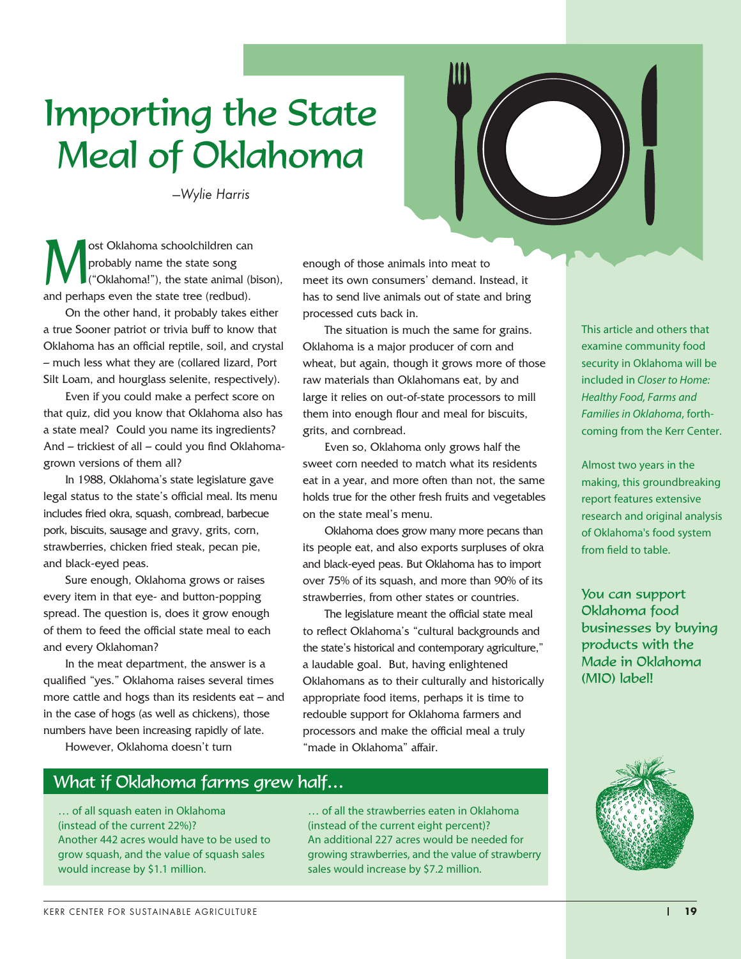# Importing the State Meal of Oklahoma

*—Wylie Harris*

**M** ost Oklahoma schoolchildren can<br>probably name the state song<br>("Oklahoma!"), the state animal (l probably name the state song ("Oklahoma!"), the state animal (bison), and perhaps even the state tree (redbud).

On the other hand, it probably takes either a true Sooner patriot or trivia buff to know that Oklahoma has an official reptile, soil, and crystal – much less what they are (collared lizard, Port Silt Loam, and hourglass selenite, respectively).

Even if you could make a perfect score on that quiz, did you know that Oklahoma also has a state meal? Could you name its ingredients? And – trickiest of all – could you find Oklahomagrown versions of them all?

In 1988, Oklahoma's state legislature gave legal status to the state's official meal. Its menu includes fried okra, squash, cornbread, barbecue pork, biscuits, sausage and gravy, grits, corn, strawberries, chicken fried steak, pecan pie, and black-eyed peas.

Sure enough, Oklahoma grows or raises every item in that eye- and button-popping spread. The question is, does it grow enough of them to feed the official state meal to each and every Oklahoman?

In the meat department, the answer is a qualified "yes." Oklahoma raises several times more cattle and hogs than its residents eat – and in the case of hogs (as well as chickens), those numbers have been increasing rapidly of late.

However, Oklahoma doesn't turn

enough of those animals into meat to meet its own consumers' demand. Instead, it has to send live animals out of state and bring processed cuts back in.

The situation is much the same for grains. Oklahoma is a major producer of corn and wheat, but again, though it grows more of those raw materials than Oklahomans eat, by and large it relies on out-of-state processors to mill them into enough flour and meal for biscuits, grits, and cornbread.

Even so, Oklahoma only grows half the sweet corn needed to match what its residents eat in a year, and more often than not, the same holds true for the other fresh fruits and vegetables on the state meal's menu.

Oklahoma does grow many more pecans than its people eat, and also exports surpluses of okra and black-eyed peas. But Oklahoma has to import over 75% of its squash, and more than 90% of its strawberries, from other states or countries.

The legislature meant the official state meal to reflect Oklahoma's "cultural backgrounds and the state's historical and contemporary agriculture," a laudable goal. But, having enlightened Oklahomans as to their culturally and historically appropriate food items, perhaps it is time to redouble support for Oklahoma farmers and processors and make the official meal a truly "made in Oklahoma" affair.

This article and others that examine community food security in Oklahoma will be included in *Closer to Home: Healthy Food, Farms and Families in Oklahoma*, forthcoming from the Kerr Center.

Almost two years in the making, this groundbreaking report features extensive research and original analysis of Oklahoma's food system from field to table.

You can support Oklahoma food businesses by buying products with the Made in Oklahoma (MIO) label!



What if Oklahoma farms grew half…

… of all squash eaten in Oklahoma (instead of the current 22%)? Another 442 acres would have to be used to grow squash, and the value of squash sales would increase by \$1.1 million.

… of all the strawberries eaten in Oklahoma (instead of the current eight percent)? An additional 227 acres would be needed for growing strawberries, and the value of strawberry sales would increase by \$7.2 million.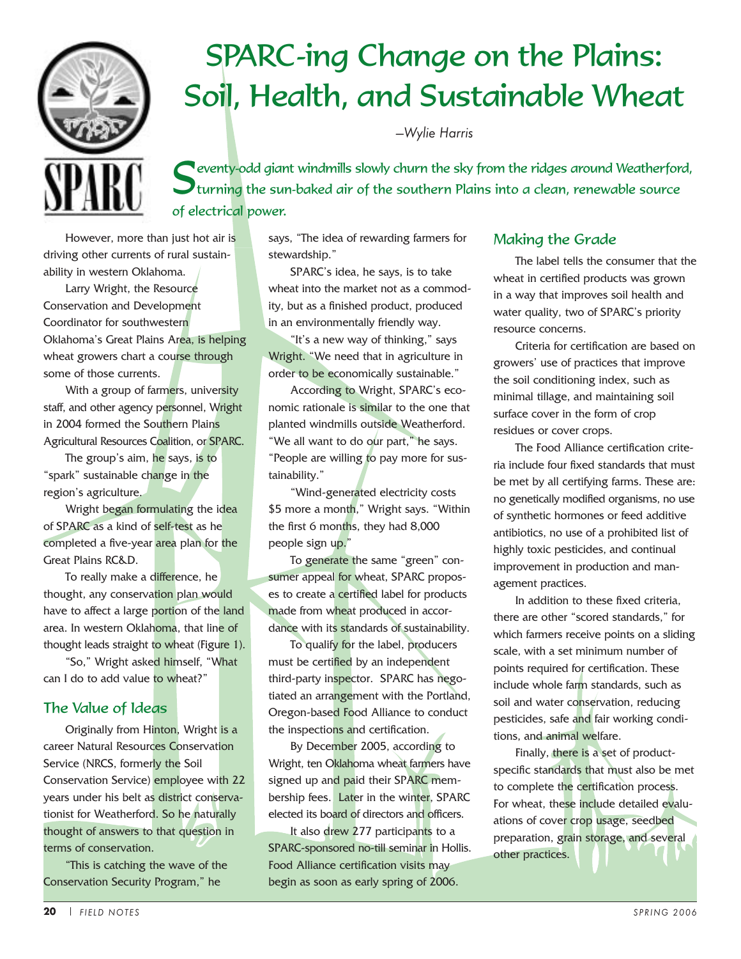

# SPARC-ing Change on the Plains: Soil, Health, and Sustainable Wheat

*—Wylie Harris*

**Reventy-odd giant windmills slowly churn the sky from the ridges around Weatherford,** turning the sun-baked air of the southern Plains into a clean, renewable source of electrical power.

However, more than just hot air is driving other currents of rural sustainability in western Oklahoma.

Larry Wright, the Resource Conservation and Development Coordinator for southwestern Oklahoma's Great Plains Area, is helping wheat growers chart a course through some of those currents.

With a group of farmers, university staff, and other agency personnel, Wright in 2004 formed the Southern Plains Agricultural Resources Coalition, or SPARC.

The group's aim, he says, is to "spark" sustainable change in the region's agriculture.

Wright began formulating the idea of SPARC as a kind of self-test as he completed a five-year area plan for the Great Plains RC&D.

To really make a difference, he thought, any conservation plan would have to affect a large portion of the land area. In western Oklahoma, that line of thought leads straight to wheat (Figure 1).

"So," Wright asked himself, "What can I do to add value to wheat?"

#### The Value of Ideas

Originally from Hinton, Wright is a career Natural Resources Conservation Service (NRCS, formerly the Soil Conservation Service) employee with 22 years under his belt as district conservationist for Weatherford. So he naturally thought of answers to that question in terms of conservation.

"This is catching the wave of the Conservation Security Program," he

says, "The idea of rewarding farmers for stewardship."

SPARC's idea, he says, is to take wheat into the market not as a commodity, but as a finished product, produced in an environmentally friendly way.

"It's a new way of thinking," says Wright. "We need that in agriculture in order to be economically sustainable."

According to Wright, SPARC's economic rationale is similar to the one that planted windmills outside Weatherford. "We all want to do our part," he says. "People are willing to pay more for sustainability."

"Wind-generated electricity costs \$5 more a month," Wright says. "Within the first 6 months, they had 8,000 people sign up."

To generate the same "green" consumer appeal for wheat, SPARC proposes to create a certified label for products made from wheat produced in accordance with its standards of sustainability.

To qualify for the label, producers must be certified by an independent third-party inspector. SPARC has negotiated an arrangement with the Portland, Oregon-based Food Alliance to conduct the inspections and certification.

By December 2005, according to Wright, ten Oklahoma wheat farmers have signed up and paid their SPARC membership fees. Later in the winter, SPARC elected its board of directors and officers.

It also drew 277 participants to a SPARC-sponsored no-till seminar in Hollis. Food Alliance certification visits may begin as soon as early spring of 2006.

#### Making the Grade

The label tells the consumer that the wheat in certified products was grown in a way that improves soil health and water quality, two of SPARC's priority resource concerns.

Criteria for certification are based on growers' use of practices that improve the soil conditioning index, such as minimal tillage, and maintaining soil surface cover in the form of crop residues or cover crops.

The Food Alliance certification criteria include four fixed standards that must be met by all certifying farms. These are: no genetically modified organisms, no use of synthetic hormones or feed additive antibiotics, no use of a prohibited list of highly toxic pesticides, and continual improvement in production and management practices.

In addition to these fixed criteria, there are other "scored standards," for which farmers receive points on a sliding scale, with a set minimum number of points required for certification. These include whole farm standards, such as soil and water conservation, reducing pesticides, safe and fair working conditions, and animal welfare.

Finally, there is a set of productspecific standards that must also be met to complete the certification process. For wheat, these include detailed evaluations of cover crop usage, seedbed preparation, grain storage, and several other practices.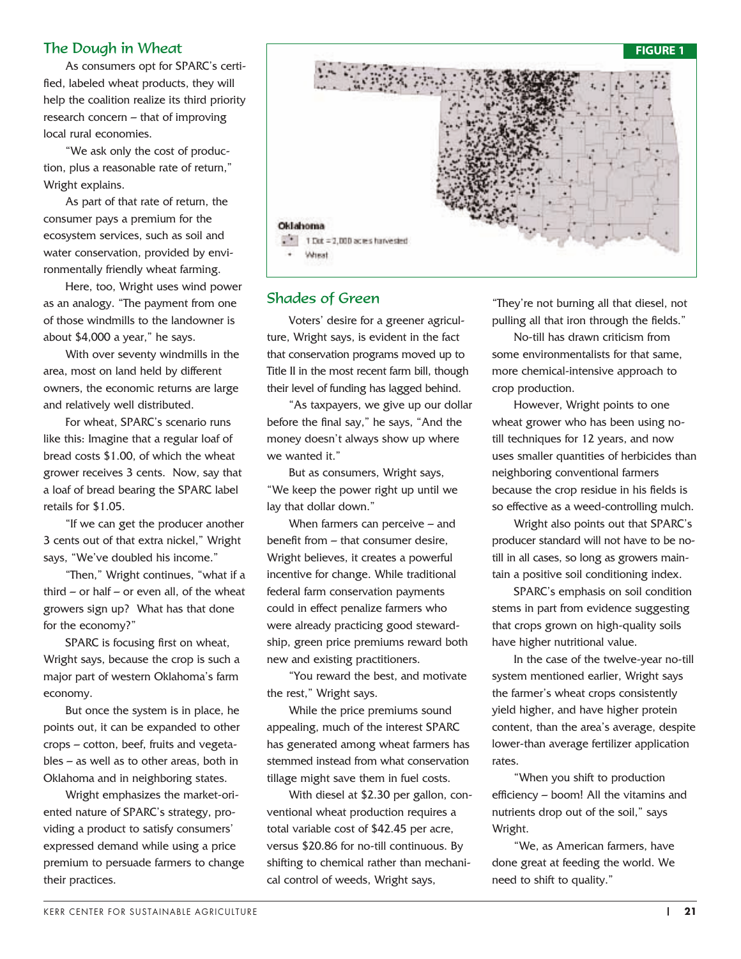As consumers opt for SPARC's certified, labeled wheat products, they will help the coalition realize its third priority research concern – that of improving local rural economies.

"We ask only the cost of production, plus a reasonable rate of return," Wright explains.

As part of that rate of return, the consumer pays a premium for the ecosystem services, such as soil and water conservation, provided by environmentally friendly wheat farming.

Here, too, Wright uses wind power as an analogy. "The payment from one of those windmills to the landowner is about \$4,000 a year," he says.

With over seventy windmills in the area, most on land held by different owners, the economic returns are large and relatively well distributed.

For wheat, SPARC's scenario runs like this: Imagine that a regular loaf of bread costs \$1.00, of which the wheat grower receives 3 cents. Now, say that a loaf of bread bearing the SPARC label retails for \$1.05.

"If we can get the producer another 3 cents out of that extra nickel," Wright says, "We've doubled his income."

"Then," Wright continues, "what if a third  $-$  or half  $-$  or even all, of the wheat growers sign up? What has that done for the economy?"

SPARC is focusing first on wheat, Wright says, because the crop is such a major part of western Oklahoma's farm economy.

But once the system is in place, he points out, it can be expanded to other crops – cotton, beef, fruits and vegetables – as well as to other areas, both in Oklahoma and in neighboring states.

Wright emphasizes the market-oriented nature of SPARC's strategy, providing a product to satisfy consumers' expressed demand while using a price premium to persuade farmers to change their practices.



#### Shades of Green

Voters' desire for a greener agriculture, Wright says, is evident in the fact that conservation programs moved up to Title II in the most recent farm bill, though their level of funding has lagged behind.

"As taxpayers, we give up our dollar before the final say," he says, "And the money doesn't always show up where we wanted it."

But as consumers, Wright says, "We keep the power right up until we lay that dollar down."

When farmers can perceive – and benefit from – that consumer desire, Wright believes, it creates a powerful incentive for change. While traditional federal farm conservation payments could in effect penalize farmers who were already practicing good stewardship, green price premiums reward both new and existing practitioners.

"You reward the best, and motivate the rest," Wright says.

While the price premiums sound appealing, much of the interest SPARC has generated among wheat farmers has stemmed instead from what conservation tillage might save them in fuel costs.

With diesel at \$2.30 per gallon, conventional wheat production requires a total variable cost of \$42.45 per acre, versus \$20.86 for no-till continuous. By shifting to chemical rather than mechanical control of weeds, Wright says,

"They're not burning all that diesel, not pulling all that iron through the fields."

No-till has drawn criticism from some environmentalists for that same, more chemical-intensive approach to crop production.

However, Wright points to one wheat grower who has been using notill techniques for 12 years, and now uses smaller quantities of herbicides than neighboring conventional farmers because the crop residue in his fields is so effective as a weed-controlling mulch.

Wright also points out that SPARC's producer standard will not have to be notill in all cases, so long as growers maintain a positive soil conditioning index.

SPARC's emphasis on soil condition stems in part from evidence suggesting that crops grown on high-quality soils have higher nutritional value.

In the case of the twelve-year no-till system mentioned earlier, Wright says the farmer's wheat crops consistently yield higher, and have higher protein content, than the area's average, despite lower-than average fertilizer application rates.

"When you shift to production efficiency – boom! All the vitamins and nutrients drop out of the soil," says Wright.

"We, as American farmers, have done great at feeding the world. We need to shift to quality."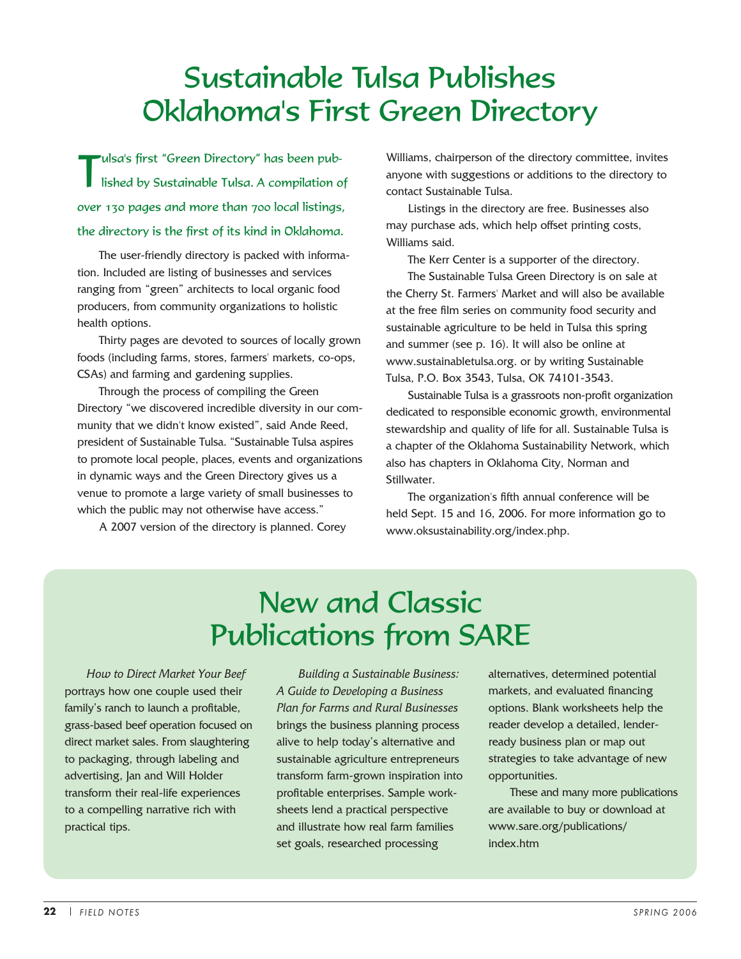### Sustainable Tulsa Publishes Oklahoma's First Green Directory

Tulsa's first "Green Directory" has been published by Sustainable Tulsa. A compilation of over 130 pages and more than 700 local listings, the directory is the first of its kind in Oklahoma.

The user-friendly directory is packed with information. Included are listing of businesses and services ranging from "green" architects to local organic food producers, from community organizations to holistic health options.

Thirty pages are devoted to sources of locally grown foods (including farms, stores, farmers' markets, co-ops, CSAs) and farming and gardening supplies.

Through the process of compiling the Green Directory "we discovered incredible diversity in our community that we didn't know existed", said Ande Reed, president of Sustainable Tulsa. "Sustainable Tulsa aspires to promote local people, places, events and organizations in dynamic ways and the Green Directory gives us a venue to promote a large variety of small businesses to which the public may not otherwise have access."

A 2007 version of the directory is planned. Corey

Williams, chairperson of the directory committee, invites anyone with suggestions or additions to the directory to contact Sustainable Tulsa.

Listings in the directory are free. Businesses also may purchase ads, which help offset printing costs, Williams said.

The Kerr Center is a supporter of the directory.

The Sustainable Tulsa Green Directory is on sale at the Cherry St. Farmers' Market and will also be available at the free film series on community food security and sustainable agriculture to be held in Tulsa this spring and summer (see p. 16). It will also be online at www.sustainabletulsa.org. or by writing Sustainable Tulsa, P.O. Box 3543, Tulsa, OK 74101-3543.

Sustainable Tulsa is a grassroots non-profit organization dedicated to responsible economic growth, environmental stewardship and quality of life for all. Sustainable Tulsa is a chapter of the Oklahoma Sustainability Network, which also has chapters in Oklahoma City, Norman and Stillwater.

The organization's fifth annual conference will be held Sept. 15 and 16, 2006. For more information go to www.oksustainability.org/index.php.

### New and Classic Publications from SARE

*How to Direct Market Your Beef* portrays how one couple used their family's ranch to launch a profitable, grass-based beef operation focused on direct market sales. From slaughtering to packaging, through labeling and advertising, Jan and Will Holder transform their real-life experiences to a compelling narrative rich with practical tips.

*Building a Sustainable Business: A Guide to Developing a Business Plan for Farms and Rural Businesses* brings the business planning process alive to help today's alternative and sustainable agriculture entrepreneurs transform farm-grown inspiration into profitable enterprises. Sample worksheets lend a practical perspective and illustrate how real farm families set goals, researched processing

alternatives, determined potential markets, and evaluated financing options. Blank worksheets help the reader develop a detailed, lenderready business plan or map out strategies to take advantage of new opportunities.

These and many more publications are available to buy or download at www.sare.org/publications/ index.htm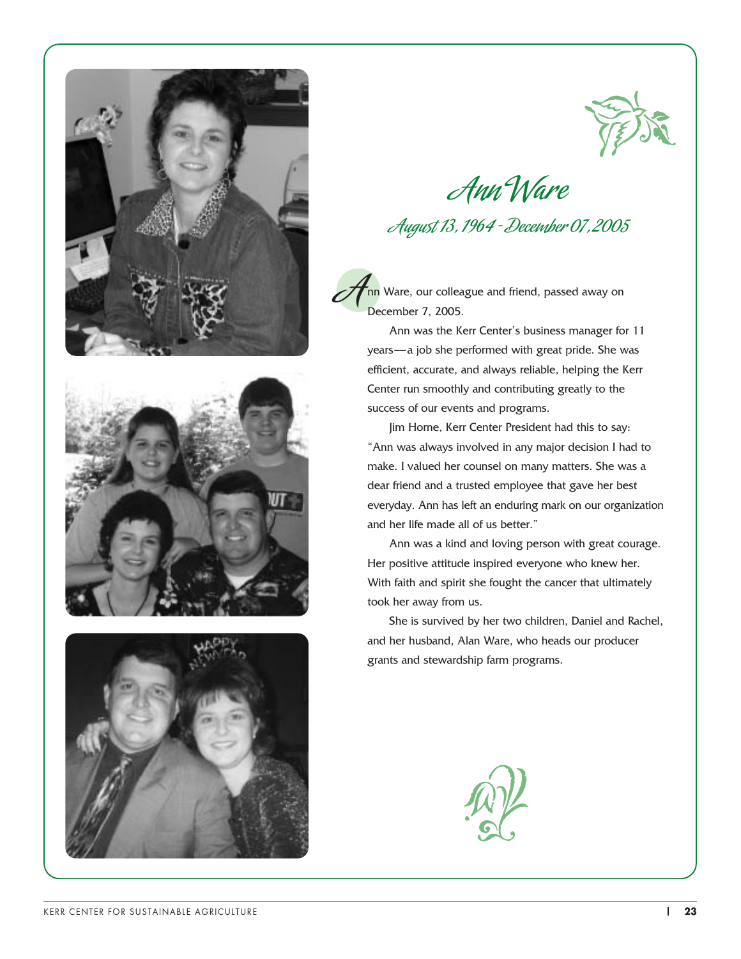







Ann Ware August 13, 1964 - December 07, 2005

.<br>nn Ware, our colleague and friend, passed away on December 7, 2005. A

Ann was the Kerr Center's business manager for 11 years—a job she performed with great pride. She was efficient, accurate, and always reliable, helping the Kerr Center run smoothly and contributing greatly to the success of our events and programs.

Jim Horne, Kerr Center President had this to say: "Ann was always involved in any major decision I had to make. I valued her counsel on many matters. She was a dear friend and a trusted employee that gave her best everyday. Ann has left an enduring mark on our organization and her life made all of us better."

Ann was a kind and loving person with great courage. Her positive attitude inspired everyone who knew her. With faith and spirit she fought the cancer that ultimately took her away from us.

She is survived by her two children, Daniel and Rachel, and her husband, Alan Ware, who heads our producer grants and stewardship farm programs.